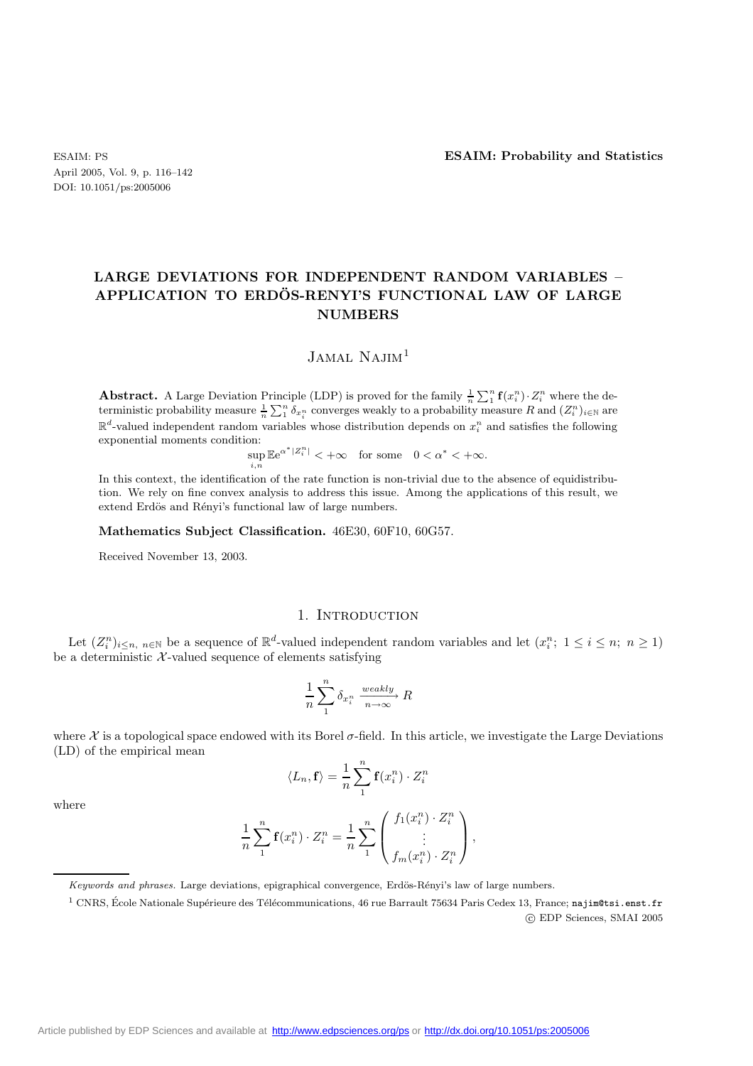April 2005, Vol. 9, p. 116–142 DOI: 10.1051/ps:2005006

## **LARGE DEVIATIONS FOR INDEPENDENT RANDOM VARIABLES – APPLICATION TO ERDOS-RENYI'S FUNCTIONAL LAW OF LARGE ¨ NUMBERS**

 $JAMAL$  Najim<sup>1</sup>

**Abstract.** A Large Deviation Principle (LDP) is proved for the family  $\frac{1}{n} \sum_{1}^{n} \mathbf{f}(x_i^n) \cdot Z_i^n$  where the deterministic probability measure  $\frac{1}{n} \sum_{1}^{n} \delta_{x_i^n}$  converges weakly to a probability measure R and  $(Z_i^n)_{i \in \mathbb{N}}$  are  $\mathbb{R}^d$ -valued independent random variables whose distribution depends on  $x_i^n$  and satisfies the following exponential moments condition: <sup>α</sup>∗|Z<sup>n</sup>

$$
\sup_{i,n} \mathbb{E} e^{\alpha^* |Z_i^n|} < +\infty \quad \text{for some} \quad 0 < \alpha^* < +\infty.
$$

In this context, the identification of the rate function is non-trivial due to the absence of equidistribution. We rely on fine convex analysis to address this issue. Among the applications of this result, we extend Erdös and Rényi's functional law of large numbers.

**Mathematics Subject Classification.** 46E30, 60F10, 60G57.

Received November 13, 2003.

## 1. INTRODUCTION

Let  $(Z_i^n)_{i \leq n, n \in \mathbb{N}}$  be a sequence of  $\mathbb{R}^d$ -valued independent random variables and let  $(x_i^n; 1 \leq i \leq n; n \geq 1)$ be a deterministic  $\mathcal{X}\text{-valued sequence of elements satisfying}$ 

$$
\frac{1}{n} \sum_{1}^{n} \delta_{x_i^n} \xrightarrow[n \to \infty]{weakly} R
$$

where  $\mathcal X$  is a topological space endowed with its Borel  $\sigma$ -field. In this article, we investigate the Large Deviations (LD) of the empirical mean

$$
\langle L_n, \mathbf{f} \rangle = \frac{1}{n} \sum_{1}^{n} \mathbf{f}(x_i^n) \cdot Z_i^n
$$

where

$$
\frac{1}{n}\sum_{1}^{n}\mathbf{f}(x_i^n)\cdot Z_i^n = \frac{1}{n}\sum_{1}^{n}\begin{pmatrix}f_1(x_i^n)\cdot Z_i^n\\ \vdots\\ f_m(x_i^n)\cdot Z_i^n\end{pmatrix},
$$

Keywords and phrases. Large deviations, epigraphical convergence, Erdös-Rényi's law of large numbers.

<sup>&</sup>lt;sup>1</sup> CNRS, École Nationale Supérieure des Télécommunications, 46 rue Barrault 75634 Paris Cedex 13, France; najim@tsi.enst.fr c EDP Sciences, SMAI 2005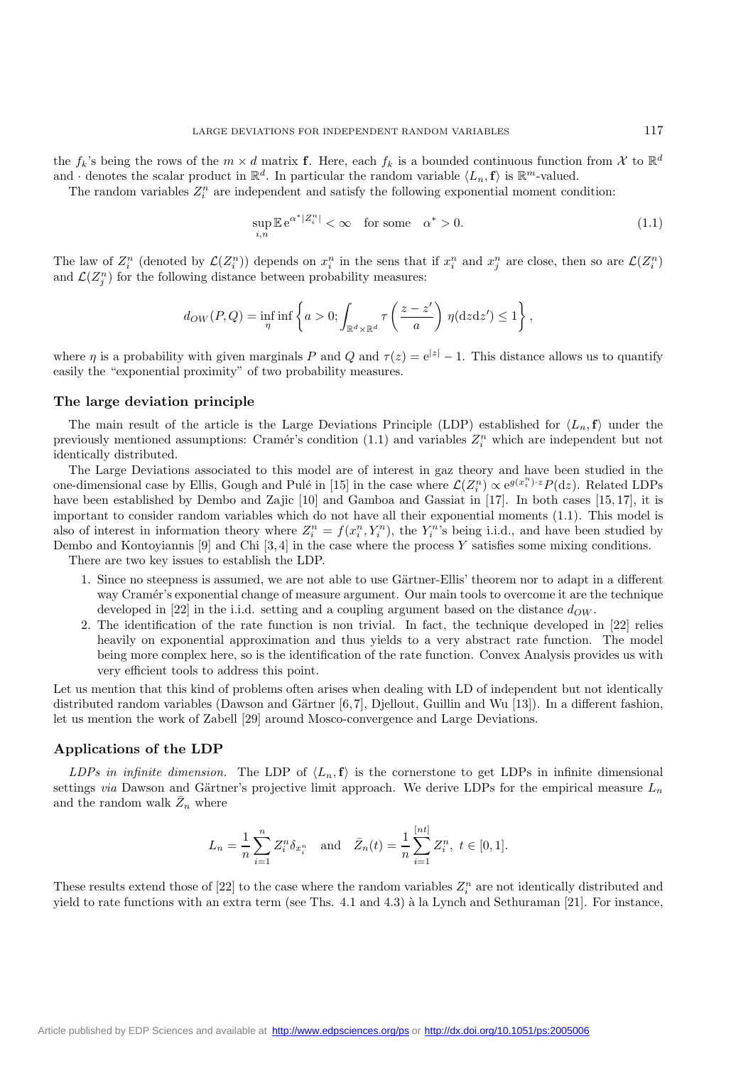the  $f_k$ 's being the rows of the  $m \times d$  matrix **f**. Here, each  $f_k$  is a bounded continuous function from X to  $\mathbb{R}^d$ and  $\cdot$  denotes the scalar product in  $\mathbb{R}^d$ . In particular the random variable  $\langle L_n, \mathbf{f} \rangle$  is  $\mathbb{R}^m$ -valued.

The random variables  $Z_i^n$  are independent and satisfy the following exponential moment condition:

$$
\sup_{i,n} \mathbb{E} e^{\alpha^*|Z_i^n|} < \infty \quad \text{for some} \quad \alpha^* > 0. \tag{1.1}
$$

The law of  $Z_i^n$  (denoted by  $\mathcal{L}(Z_i^n)$ ) depends on  $x_i^n$  in the sens that if  $x_i^n$  and  $x_j^n$  are close, then so are  $\mathcal{L}(Z_i^n)$ and  $\mathcal{L}(Z_j^n)$  for the following distance between probability measures:

$$
d_{OW}(P,Q) = \inf_{\eta} \inf \left\{ a > 0; \int_{\mathbb{R}^d \times \mathbb{R}^d} \tau \left( \frac{z - z'}{a} \right) \eta(\mathrm{d}z \mathrm{d}z') \le 1 \right\},\,
$$

where  $\eta$  is a probability with given marginals P and Q and  $\tau(z)=e^{|z|}-1$ . This distance allows us to quantify easily the "exponential proximity" of two probability measures.

#### **The large deviation principle**

The main result of the article is the Large Deviations Principle (LDP) established for  $\langle L_n, \mathbf{f} \rangle$  under the previously mentioned assumptions: Cramér's condition  $(1.1)$  and variables  $Z_i^n$  which are independent but not identically distributed.

The Large Deviations associated to this model are of interest in gaz theory and have been studied in the one-dimensional case by Ellis, Gough and Pulé in [15] in the case where  $\mathcal{L}(Z_i^n) \propto e^{g(x_i^n) \cdot z} P(\mathrm{d}z)$ . Related LDPs have been established by Dembo and Zajic [10] and Gamboa and Gassiat in [17]. In both cases [15, 17], it is important to consider random variables which do not have all their exponential moments (1.1). This model is also of interest in information theory where  $Z_i^n = f(x_i^n, Y_i^n)$ , the  $Y_i^n$ 's being i.i.d., and have been studied by Dembo and Kontoyiannis  $[9]$  and Chi  $[3, 4]$  in the case where the process Y satisfies some mixing conditions.

There are two key issues to establish the LDP.

- 1. Since no steepness is assumed, we are not able to use Gärtner-Ellis' theorem nor to adapt in a different way Cramér's exponential change of measure argument. Our main tools to overcome it are the technique developed in [22] in the i.i.d. setting and a coupling argument based on the distance  $d_{OW}$ .
- 2. The identification of the rate function is non trivial. In fact, the technique developed in [22] relies heavily on exponential approximation and thus yields to a very abstract rate function. The model being more complex here, so is the identification of the rate function. Convex Analysis provides us with very efficient tools to address this point.

Let us mention that this kind of problems often arises when dealing with LD of independent but not identically distributed random variables (Dawson and Gärtner  $[6, 7]$ , Djellout, Guillin and Wu [13]). In a different fashion, let us mention the work of Zabell [29] around Mosco-convergence and Large Deviations.

#### **Applications of the LDP**

*LDPs in infinite dimension.* The LDP of  $\langle L_n, \mathbf{f} \rangle$  is the cornerstone to get LDPs in infinite dimensional settings *via* Dawson and Gärtner's projective limit approach. We derive LDPs for the empirical measure  $L_n$ and the random walk  $\bar{Z}_n$  where

$$
L_n = \frac{1}{n} \sum_{i=1}^n Z_i^n \delta_{x_i^n} \quad \text{and} \quad \bar{Z}_n(t) = \frac{1}{n} \sum_{i=1}^{[nt]} Z_i^n, \ t \in [0, 1].
$$

These results extend those of [22] to the case where the random variables  $Z_i^n$  are not identically distributed and yield to rate functions with an extra term (see Ths. 4.1 and 4.3) à la Lynch and Sethuraman [21]. For instance,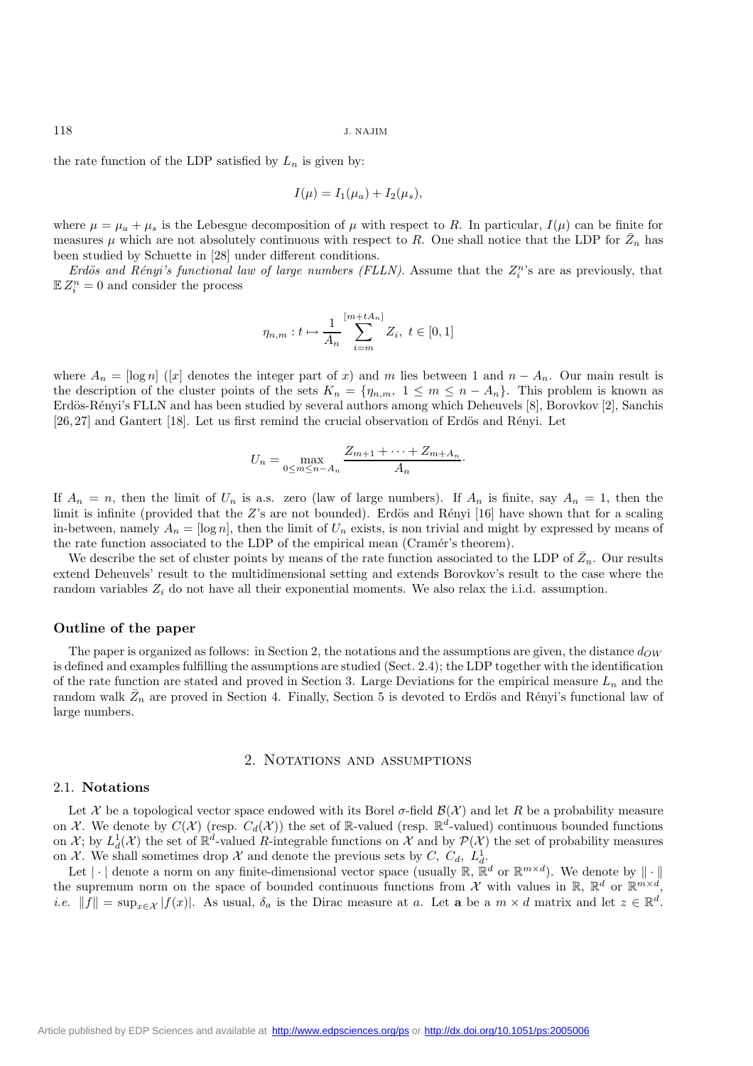the rate function of the LDP satisfied by  $L_n$  is given by:

$$
I(\mu) = I_1(\mu_a) + I_2(\mu_s),
$$

where  $\mu = \mu_a + \mu_s$  is the Lebesgue decomposition of  $\mu$  with respect to R. In particular,  $I(\mu)$  can be finite for measures  $\mu$  which are not absolutely continuous with respect to R. One shall notice that the LDP for  $\bar{Z}_n$  has been studied by Schuette in [28] under different conditions.

*Erdös and Rényi's functional law of large numbers (FLLN)*. Assume that the  $Z_i^n$ 's are as previously, that  $\mathbb{E} Z_i^n = 0$  and consider the process

$$
\eta_{n,m}: t \mapsto \frac{1}{A_n} \sum_{i=m}^{[m+tA_n]} Z_i, \ t \in [0,1]
$$

where  $A_n = \log n$  ([x] denotes the integer part of x) and m lies between 1 and  $n - A_n$ . Our main result is the description of the cluster points of the sets  $K_n = \{\eta_{n,m}, 1 \leq m \leq n - A_n\}$ . This problem is known as Erdös-Rényi's FLLN and has been studied by several authors among which Deheuvels [8], Borovkov [2], Sanchis  $[26, 27]$  and Gantert  $[18]$ . Let us first remind the crucial observation of Erdös and Rényi. Let

$$
U_n = \max_{0 \le m \le n - A_n} \frac{Z_{m+1} + \dots + Z_{m+A_n}}{A_n}.
$$

If  $A_n = n$ , then the limit of  $U_n$  is a.s. zero (law of large numbers). If  $A_n$  is finite, say  $A_n = 1$ , then the limit is infinite (provided that the  $Z$ 's are not bounded). Erdös and Rényi [16] have shown that for a scaling in-between, namely  $A_n = \log n$ , then the limit of  $U_n$  exists, is non trivial and might by expressed by means of the rate function associated to the LDP of the empirical mean (Cramér's theorem).

We describe the set of cluster points by means of the rate function associated to the LDP of  $\bar{Z}_n$ . Our results extend Deheuvels' result to the multidimensional setting and extends Borovkov's result to the case where the random variables  $Z_i$  do not have all their exponential moments. We also relax the i.i.d. assumption.

## **Outline of the paper**

The paper is organized as follows: in Section 2, the notations and the assumptions are given, the distance  $d_{OW}$ is defined and examples fulfilling the assumptions are studied (Sect. 2.4); the LDP together with the identification of the rate function are stated and proved in Section 3. Large Deviations for the empirical measure  $L_n$  and the random walk  $\bar{Z}_n$  are proved in Section 4. Finally, Section 5 is devoted to Erdös and Rényi's functional law of large numbers.

### 2. NOTATIONS AND ASSUMPTIONS

#### 2.1. **Notations**

Let X be a topological vector space endowed with its Borel  $\sigma$ -field  $\mathcal{B}(\mathcal{X})$  and let R be a probability measure on X. We denote by  $C(\mathcal{X})$  (resp.  $C_d(\mathcal{X})$ ) the set of R-valued (resp.  $\mathbb{R}^d$ -valued) continuous bounded functions on  $\mathcal{X}$ ; by  $L_d^1(\mathcal{X})$  the set of  $\mathbb{R}^d$ -valued R-integrable functions on  $\mathcal{X}$  and by  $\mathcal{P}(\mathcal{X})$  the set of probability measures on X. We shall sometimes drop X and denote the previous sets by  $C, C_d, L_d^1$ .

Let  $|\cdot|$  denote a norm on any finite-dimensional vector space (usually  $\mathbb{R}, \mathbb{R}^d$  or  $\mathbb{R}^{m \times d}$ ). We denote by  $\|\cdot\|$ the supremum norm on the space of bounded continuous functions from X with values in R,  $\mathbb{R}^d$  or  $\mathbb{R}^{m \times d}$ , *i.e.*  $||f|| = \sup_{x \in \mathcal{X}} |f(x)|$ . As usual,  $\delta_a$  is the Dirac measure at a. Let **a** be a  $m \times d$  matrix and let  $z \in \mathbb{R}^d$ .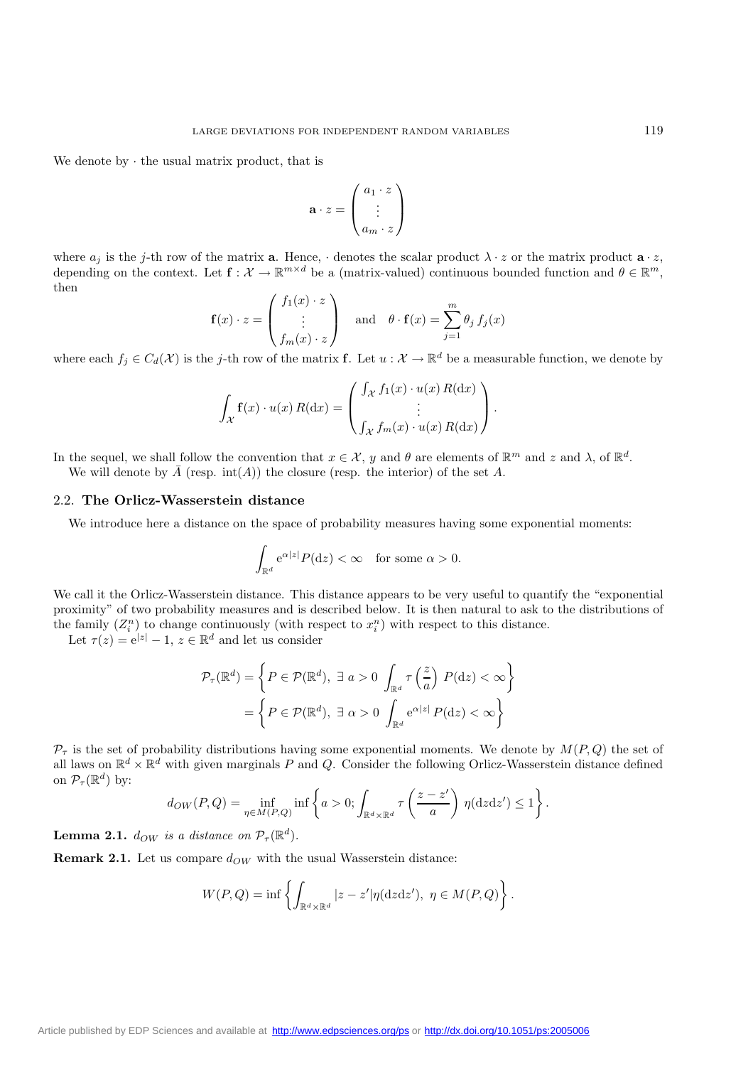We denote by  $\cdot$  the usual matrix product, that is

$$
\mathbf{a} \cdot z = \begin{pmatrix} a_1 \cdot z \\ \vdots \\ a_m \cdot z \end{pmatrix}
$$

where  $a_j$  is the j-th row of the matrix **a**. Hence,  $\cdot$  denotes the scalar product  $\lambda \cdot z$  or the matrix product  $\mathbf{a} \cdot z$ , depending on the context. Let  $f: \mathcal{X} \to \mathbb{R}^{m \times d}$  be a (matrix-valued) continuous bounded function and  $\theta \in \mathbb{R}^m$ , then

$$
\mathbf{f}(x) \cdot z = \begin{pmatrix} f_1(x) \cdot z \\ \vdots \\ f_m(x) \cdot z \end{pmatrix} \quad \text{and} \quad \theta \cdot \mathbf{f}(x) = \sum_{j=1}^m \theta_j f_j(x)
$$

where each  $f_i \in C_d(\mathcal{X})$  is the j-th row of the matrix **f**. Let  $u : \mathcal{X} \to \mathbb{R}^d$  be a measurable function, we denote by

$$
\int_{\mathcal{X}} \mathbf{f}(x) \cdot u(x) R(\mathrm{d}x) = \begin{pmatrix} \int_{\mathcal{X}} f_1(x) \cdot u(x) R(\mathrm{d}x) \\ \vdots \\ \int_{\mathcal{X}} f_m(x) \cdot u(x) R(\mathrm{d}x) \end{pmatrix}.
$$

In the sequel, we shall follow the convention that  $x \in \mathcal{X}$ , y and  $\theta$  are elements of  $\mathbb{R}^m$  and z and  $\lambda$ , of  $\mathbb{R}^d$ . We will denote by  $\overline{A}$  (resp. int(A)) the closure (resp. the interior) of the set A.

#### 2.2. **The Orlicz-Wasserstein distance**

We introduce here a distance on the space of probability measures having some exponential moments:

$$
\int_{\mathbb{R}^d} e^{\alpha|z|} P(\mathrm{d}z) < \infty \quad \text{for some } \alpha > 0.
$$

We call it the Orlicz-Wasserstein distance. This distance appears to be very useful to quantify the "exponential" proximity" of two probability measures and is described below. It is then natural to ask to the distributions of the family  $(Z_i^n)$  to change continuously (with respect to  $x_i^n$ ) with respect to this distance.

Let  $\tau(z) = e^{|z|} - 1$ ,  $z \in \mathbb{R}^d$  and let us consider

$$
\mathcal{P}_{\tau}(\mathbb{R}^{d}) = \left\{ P \in \mathcal{P}(\mathbb{R}^{d}), \exists a > 0 \int_{\mathbb{R}^{d}} \tau\left(\frac{z}{a}\right) P(\mathrm{d}z) < \infty \right\}
$$

$$
= \left\{ P \in \mathcal{P}(\mathbb{R}^{d}), \exists \alpha > 0 \int_{\mathbb{R}^{d}} e^{\alpha |z|} P(\mathrm{d}z) < \infty \right\}
$$

 $P<sub>\tau</sub>$  is the set of probability distributions having some exponential moments. We denote by  $M(P,Q)$  the set of all laws on  $\mathbb{R}^d \times \mathbb{R}^d$  with given marginals P and Q. Consider the following Orlicz-Wasserstein distance defined on  $\mathcal{P}_{\tau}(\mathbb{R}^d)$  by:

$$
d_{OW}(P,Q) = \inf_{\eta \in M(P,Q)} \inf \left\{ a > 0; \int_{\mathbb{R}^d \times \mathbb{R}^d} \tau \left( \frac{z - z'}{a} \right) \eta(\mathrm{d}z \mathrm{d}z') \le 1 \right\}.
$$

**Lemma 2.1.**  $d_{OW}$  *is a distance on*  $\mathcal{P}_{\tau}(\mathbb{R}^d)$ *.* 

**Remark 2.1.** Let us compare  $d_{OW}$  with the usual Wasserstein distance:

$$
W(P,Q) = \inf \left\{ \int_{\mathbb{R}^d \times \mathbb{R}^d} |z - z'| \eta(\mathrm{d}z \mathrm{d}z'), \ \eta \in M(P,Q) \right\}.
$$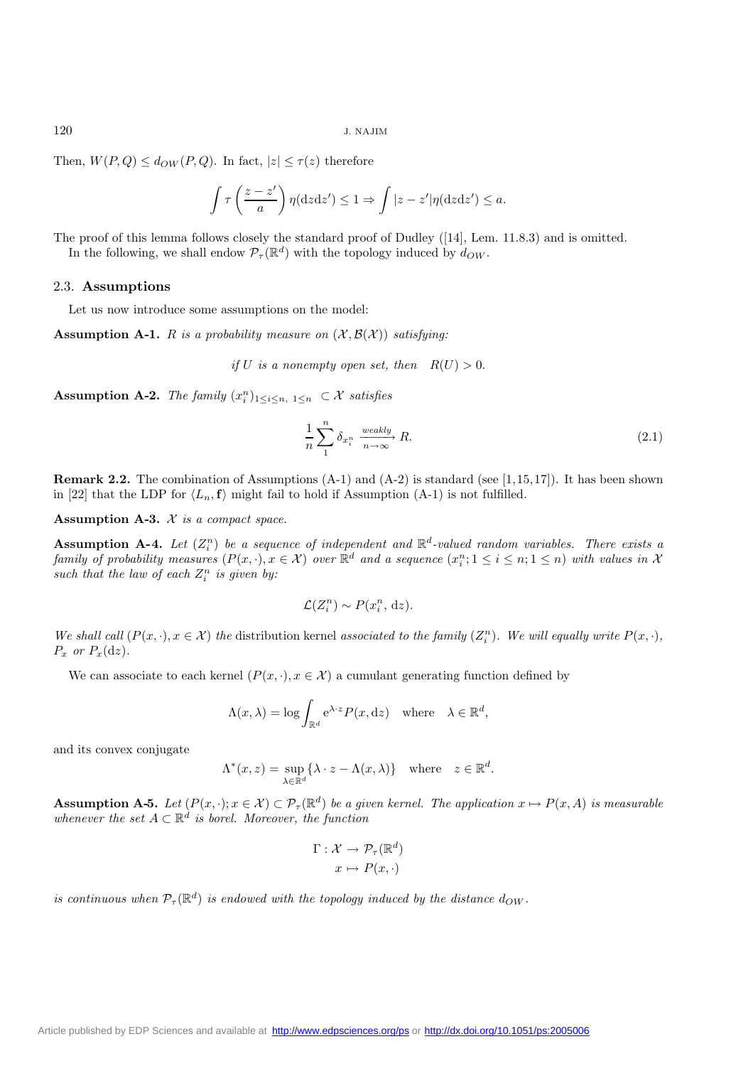Then,  $W(P,Q) \leq d_{OW}(P,Q)$ . In fact,  $|z| \leq \tau(z)$  therefore

$$
\int \tau \left(\frac{z-z'}{a}\right) \eta(\mathrm{d}z\mathrm{d}z') \leq 1 \Rightarrow \int |z-z'| \eta(\mathrm{d}z\mathrm{d}z') \leq a.
$$

The proof of this lemma follows closely the standard proof of Dudley ([14], Lem. 11.8.3) and is omitted. In the following, we shall endow  $\mathcal{P}_{\tau}(\mathbb{R}^d)$  with the topology induced by  $d_{OW}$ .

#### 2.3. **Assumptions**

Let us now introduce some assumptions on the model:

**Assumption A-1.** R *is a probability measure on*  $(\mathcal{X}, \mathcal{B}(\mathcal{X}))$  *satisfying:* 

*if* U *is a nonempty open set, then*  $R(U) > 0$ .

**Assumption A-2.** *The family*  $(x_i^n)_{1 \leq i \leq n, 1 \leq n} \subset \mathcal{X}$  *satisfies* 

$$
\frac{1}{n}\sum_{1}^{n}\delta_{x_{i}^{n}}\xrightarrow[n\to\infty]{weakly}R.\tag{2.1}
$$

**Remark 2.2.** The combination of Assumptions  $(A-1)$  and  $(A-2)$  is standard (see [1,15,17]). It has been shown in [22] that the LDP for  $\langle L_n, \mathbf{f} \rangle$  might fail to hold if Assumption (A-1) is not fulfilled.

**Assumption A-3.** X *is a compact space.*

**Assumption A-4.** Let  $(Z_i^n)$  be a sequence of independent and  $\mathbb{R}^d$ -valued random variables. There exists a *family of probability measures*  $(P(x, \cdot), x \in \mathcal{X})$  *over*  $\mathbb{R}^d$  *and a sequence*  $(x_i^n; 1 \leq i \leq n; 1 \leq n)$  *with values in*  $\mathcal{X}$ such that the law of each  $Z_i^n$  is given by:

$$
\mathcal{L}(Z_i^n) \sim P(x_i^n, \, \mathrm{d}z).
$$

*We shall call*  $(P(x, \cdot), x \in \mathcal{X})$  *the* distribution kernel *associated to the family*  $(Z_i^n)$ *. We will equally write*  $P(x, \cdot)$ *,*  $P_x$  *or*  $P_x(\mathrm{d}z)$ .

We can associate to each kernel  $(P(x, \cdot), x \in \mathcal{X})$  a cumulant generating function defined by

$$
\Lambda(x,\lambda) = \log \int_{\mathbb{R}^d} e^{\lambda \cdot z} P(x,\mathrm{d}z) \quad \text{where} \quad \lambda \in \mathbb{R}^d,
$$

and its convex conjugate

$$
\Lambda^*(x, z) = \sup_{\lambda \in \mathbb{R}^d} \{ \lambda \cdot z - \Lambda(x, \lambda) \} \quad \text{where} \quad z \in \mathbb{R}^d.
$$

**Assumption A-5.** *Let*  $(P(x, \cdot); x \in \mathcal{X}) \subset \mathcal{P}_{\tau}(\mathbb{R}^d)$  *be a given kernel. The application*  $x \mapsto P(x, A)$  *is measurable whenever the set*  $A \subset \mathbb{R}^d$  *is borel. Moreover, the function* 

$$
\Gamma: \mathcal{X} \to \mathcal{P}_{\tau}(\mathbb{R}^d)
$$

$$
x \mapsto P(x, \cdot)
$$

*is continuous when*  $P_{\tau}(\mathbb{R}^d)$  *is endowed with the topology induced by the distance*  $d_{OW}$ *.*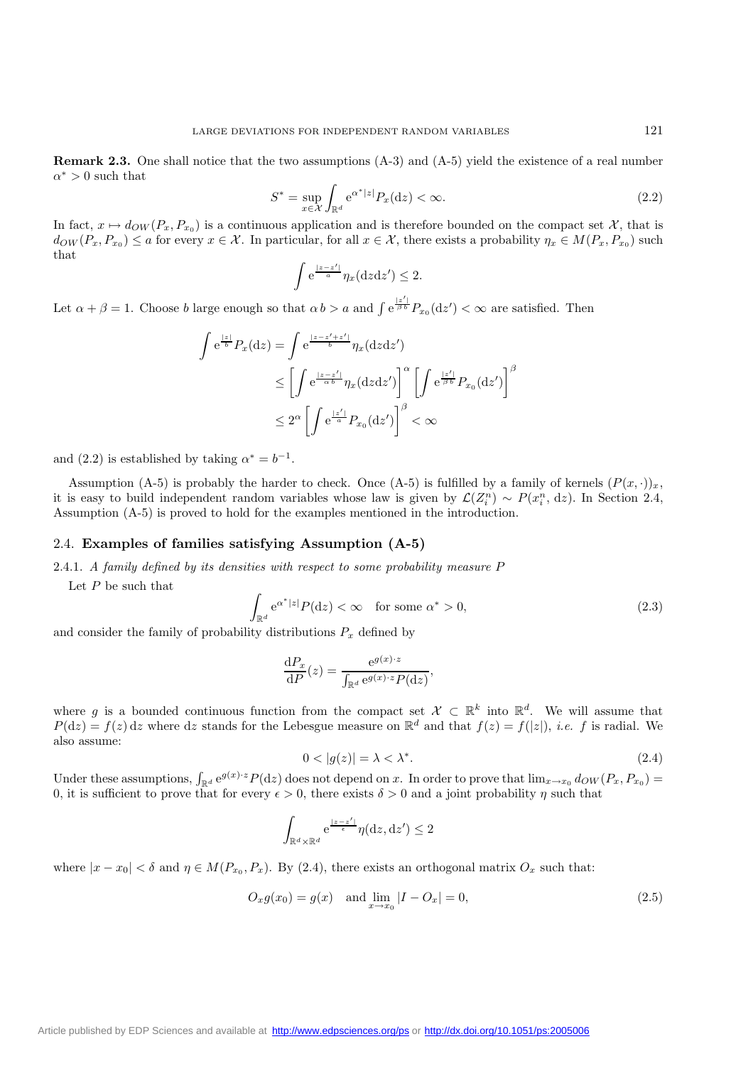**Remark 2.3.** One shall notice that the two assumptions  $(A-3)$  and  $(A-5)$  yield the existence of a real number  $\alpha^* > 0$  such that

$$
S^* = \sup_{x \in \mathcal{X}} \int_{\mathbb{R}^d} e^{\alpha^* |z|} P_x(\mathrm{d}z) < \infty. \tag{2.2}
$$

In fact,  $x \mapsto d_{OW}(P_x, P_{x_0})$  is a continuous application and is therefore bounded on the compact set X, that is  $d_{OW}(P_x, P_{x_0}) \le a$  for every  $x \in \mathcal{X}$ . In particular, for all  $x \in \mathcal{X}$ , there exists a probability  $\eta_x \in M(P_x, P_{x_0})$  such that

$$
\int e^{\frac{|z-z'|}{a}} \eta_x(\mathrm{d}z\mathrm{d}z') \le 2.
$$

Let  $\alpha + \beta = 1$ . Choose b large enough so that  $\alpha b > a$  and  $\int e^{\frac{|z'|}{\beta b}} P_{x_0}(dz') < \infty$  are satisfied. Then

$$
\int e^{\frac{|z|}{b}} P_x(\mathrm{d}z) = \int e^{\frac{|z-z'+z'|}{b}} \eta_x(\mathrm{d}z \mathrm{d}z')
$$
\n
$$
\leq \left[ \int e^{\frac{|z-z'|}{\alpha b}} \eta_x(\mathrm{d}z \mathrm{d}z') \right]^\alpha \left[ \int e^{\frac{|z'|}{\beta b}} P_{x_0}(\mathrm{d}z') \right]^\beta
$$
\n
$$
\leq 2^\alpha \left[ \int e^{\frac{|z'|}{\alpha b}} P_{x_0}(\mathrm{d}z') \right]^\beta < \infty
$$

and (2.2) is established by taking  $\alpha^* = b^{-1}$ .

Assumption (A-5) is probably the harder to check. Once (A-5) is fulfilled by a family of kernels  $(P(x, \cdot))_x$ , it is easy to build independent random variables whose law is given by  $\mathcal{L}(Z_i^n) \sim P(x_i^n, dz)$ . In Section 2.4, Assumption (A-5) is proved to hold for the examples mentioned in the introduction.

## 2.4. **Examples of families satisfying Assumption (A-5)**

2.4.1. *A family defined by its densities with respect to some probability measure* P

Let  $P$  be such that

$$
\int_{\mathbb{R}^d} e^{\alpha^*|z|} P(\mathrm{d}z) < \infty \quad \text{for some } \alpha^* > 0,\tag{2.3}
$$

and consider the family of probability distributions  $P_x$  defined by

$$
\frac{\mathrm{d}P_x}{\mathrm{d}P}(z) = \frac{e^{g(x)\cdot z}}{\int_{\mathbb{R}^d} e^{g(x)\cdot z} P(\mathrm{d}z)},
$$

where g is a bounded continuous function from the compact set  $\mathcal{X} \subset \mathbb{R}^k$  into  $\mathbb{R}^d$ . We will assume that  $P(\mathrm{d}z) = f(z) \, \mathrm{d}z$  where  $\mathrm{d}z$  stands for the Lebesgue measure on  $\mathbb{R}^d$  and that  $f(z) = f(|z|)$ , *i.e.* f is radial. We also assume:

$$
0 < |g(z)| = \lambda < \lambda^*.\tag{2.4}
$$

Under these assumptions,  $\int_{\mathbb{R}^d} e^{g(x)\cdot z} P(dz)$  does not depend on x. In order to prove that  $\lim_{x\to x_0} d_{OW}(P_x, P_{x_0}) =$ 0, it is sufficient to prove that for every  $\epsilon > 0$ , there exists  $\delta > 0$  and a joint probability  $\eta$  such that

$$
\int_{\mathbb{R}^d\times\mathbb{R}^d}\mathrm{e}^{\frac{|z-z'|}{\epsilon}}\eta(\mathrm{d} z,\mathrm{d} z')\leq 2
$$

where  $|x-x_0| < \delta$  and  $\eta \in M(P_{x_0}, P_x)$ . By (2.4), there exists an orthogonal matrix  $O_x$  such that:

$$
O_x g(x_0) = g(x) \quad \text{and} \quad \lim_{x \to x_0} |I - O_x| = 0,\tag{2.5}
$$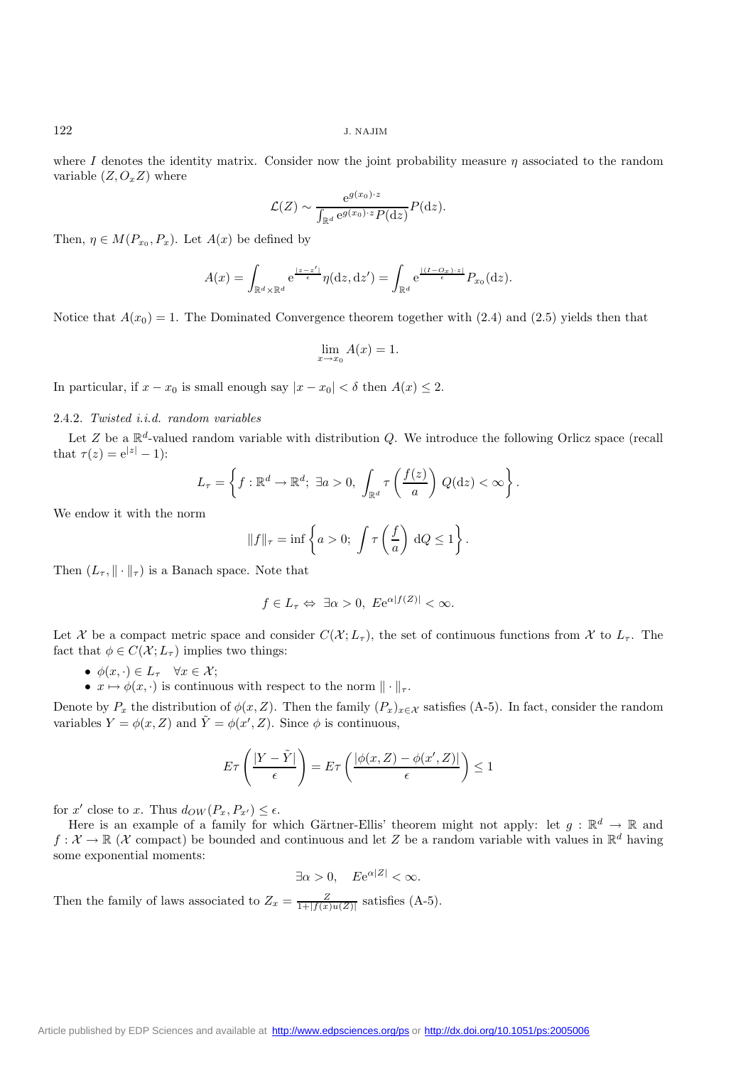where I denotes the identity matrix. Consider now the joint probability measure  $\eta$  associated to the random variable  $(Z, O_x Z)$  where

$$
\mathcal{L}(Z) \sim \frac{e^{g(x_0)\cdot z}}{\int_{\mathbb{R}^d} e^{g(x_0)\cdot z} P(\mathrm{d}z)} P(\mathrm{d}z).
$$

Then,  $\eta \in M(P_{x_0}, P_x)$ . Let  $A(x)$  be defined by

$$
A(x) = \int_{\mathbb{R}^d \times \mathbb{R}^d} e^{\frac{|z - z'|}{\epsilon}} \eta(\mathrm{d}z, \mathrm{d}z') = \int_{\mathbb{R}^d} e^{\frac{|\langle I - O_x \rangle \cdot z|}{\epsilon}} P_{x_0}(\mathrm{d}z).
$$

Notice that  $A(x_0) = 1$ . The Dominated Convergence theorem together with (2.4) and (2.5) yields then that

$$
\lim_{x \to x_0} A(x) = 1.
$$

In particular, if  $x - x_0$  is small enough say  $|x - x_0| < \delta$  then  $A(x) \leq 2$ .

#### 2.4.2. *Twisted i.i.d. random variables*

Let Z be a  $\mathbb{R}^d$ -valued random variable with distribution Q. We introduce the following Orlicz space (recall that  $\tau(z) = e^{|z|} - 1$ :

$$
L_{\tau} = \left\{ f : \mathbb{R}^d \to \mathbb{R}^d; \ \exists a > 0, \ \int_{\mathbb{R}^d} \tau \left( \frac{f(z)}{a} \right) \, Q(\mathrm{d}z) < \infty \right\}.
$$

We endow it with the norm

$$
||f||_{\tau} = \inf \left\{ a > 0; \int \tau \left( \frac{f}{a} \right) dQ \le 1 \right\}.
$$

Then  $(L_{\tau}, \|\cdot\|_{\tau})$  is a Banach space. Note that

$$
f \in L_{\tau} \Leftrightarrow \exists \alpha > 0, \ Ee^{\alpha |f(Z)|} < \infty.
$$

Let X be a compact metric space and consider  $C(\mathcal{X};L_\tau)$ , the set of continuous functions from X to  $L_\tau$ . The fact that  $\phi \in C(\mathcal{X}; L_{\tau})$  implies two things:

- $\phi(x, \cdot) \in L_{\tau}$   $\forall x \in \mathcal{X};$
- $x \mapsto \phi(x, \cdot)$  is continuous with respect to the norm  $\|\cdot\|_{\tau}$ .

Denote by  $P_x$  the distribution of  $\phi(x, Z)$ . Then the family  $(P_x)_{x \in \mathcal{X}}$  satisfies (A-5). In fact, consider the random variables  $Y = \phi(x, Z)$  and  $\tilde{Y} = \phi(x', Z)$ . Since  $\phi$  is continuous,

$$
E\tau\left(\frac{|Y-\tilde{Y}|}{\epsilon}\right) = E\tau\left(\frac{|\phi(x,Z) - \phi(x',Z)|}{\epsilon}\right) \le 1
$$

for x' close to x. Thus  $d_{OW}(P_x, P_{x'}) \leq \epsilon$ .

Here is an example of a family for which Gärtner-Ellis' theorem might not apply: let  $g : \mathbb{R}^d \to \mathbb{R}$  and  $f: \mathcal{X} \to \mathbb{R}$  (X compact) be bounded and continuous and let Z be a random variable with values in  $\mathbb{R}^d$  having some exponential moments:

 $\exists \alpha > 0$ ,  $Ee^{\alpha |Z|} < \infty$ .

Then the family of laws associated to  $Z_x = \frac{Z}{1 + |f(x)u(Z)|}$  satisfies (A-5).

[Article published by EDP Sciences and available at http://www.edpsciences.org/ps](http://www.edpsciences.org/ps) or <http://dx.doi.org/10.1051/ps:2005006>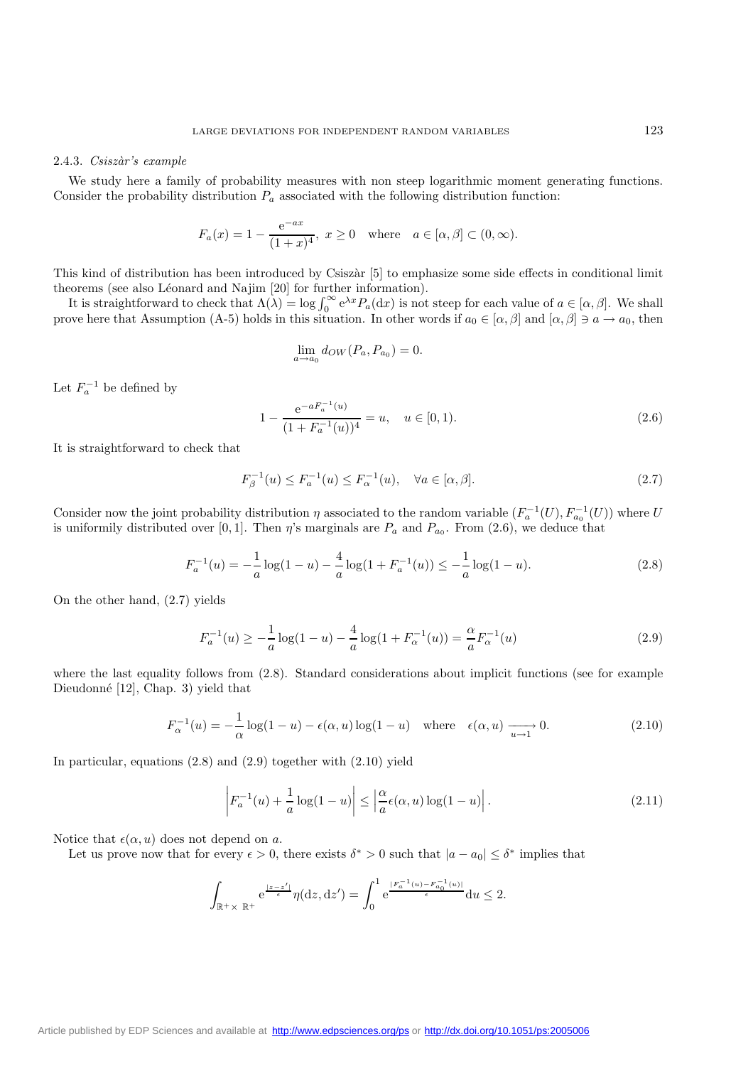#### 2.4.3. *Csisz`ar's example*

We study here a family of probability measures with non steep logarithmic moment generating functions. Consider the probability distribution  $P_a$  associated with the following distribution function:

$$
F_a(x) = 1 - \frac{e^{-ax}}{(1+x)^4}, \ x \ge 0 \text{ where } a \in [\alpha, \beta] \subset (0, \infty).
$$

This kind of distribution has been introduced by Csiszàr [5] to emphasize some side effects in conditional limit theorems (see also Léonard and Najim  $[20]$  for further information).

It is straightforward to check that  $\Lambda(\lambda) = \log \int_0^\infty e^{\lambda x} P_a(\mathrm{d}x)$  is not steep for each value of  $a \in [\alpha, \beta]$ . We shall<br>we here that Assumption (A-5) holds in this situation. In other words if  $a_0 \in [\alpha, \beta]$  and  $[\alpha, \beta] \$ prove here that Assumption (A-5) holds in this situation. In other words if  $a_0 \in [\alpha, \beta]$  and  $[\alpha, \beta] \ni a \to a_0$ , then

$$
\lim_{a \to a_0} d_{OW}(P_a, P_{a_0}) = 0.
$$

Let  $F_a^{-1}$  be defined by

$$
1 - \frac{e^{-aF_a^{-1}(u)}}{(1 + F_a^{-1}(u))^4} = u, \quad u \in [0, 1).
$$
\n(2.6)

It is straightforward to check that

$$
F_{\beta}^{-1}(u) \le F_a^{-1}(u) \le F_{\alpha}^{-1}(u), \quad \forall a \in [\alpha, \beta].
$$
 (2.7)

Consider now the joint probability distribution  $\eta$  associated to the random variable  $(F_a^{-1}(U), F_{a_0}^{-1}(U))$  where U is uniformily distributed over [0, 1]. Then  $\eta$ 's marginals are  $P_a$  and  $P_{a_0}$ . From (2.6), we deduce that

$$
F_a^{-1}(u) = -\frac{1}{a}\log(1-u) - \frac{4}{a}\log(1 + F_a^{-1}(u)) \le -\frac{1}{a}\log(1-u). \tag{2.8}
$$

On the other hand, (2.7) yields

$$
F_a^{-1}(u) \ge -\frac{1}{a}\log(1-u) - \frac{4}{a}\log(1 + F_\alpha^{-1}(u)) = -\frac{\alpha}{a}F_\alpha^{-1}(u)
$$
\n(2.9)

where the last equality follows from  $(2.8)$ . Standard considerations about implicit functions (see for example Dieudonné [12], Chap. 3) yield that

$$
F_{\alpha}^{-1}(u) = -\frac{1}{\alpha}\log(1-u) - \epsilon(\alpha, u)\log(1-u) \quad \text{where} \quad \epsilon(\alpha, u) \xrightarrow[u \to 1]{} 0. \tag{2.10}
$$

In particular, equations (2.8) and (2.9) together with (2.10) yield

$$
\left| F_a^{-1}(u) + \frac{1}{a} \log(1 - u) \right| \le \left| \frac{\alpha}{a} \epsilon(\alpha, u) \log(1 - u) \right|.
$$
 (2.11)

Notice that  $\epsilon(\alpha, u)$  does not depend on a.

Let us prove now that for every  $\epsilon > 0$ , there exists  $\delta^* > 0$  such that  $|a - a_0| \leq \delta^*$  implies that

$$
\int_{\mathbb{R}^+\times} e^{\frac{|z-z'|}{\epsilon}} \eta(\mathrm{d}z, \mathrm{d}z') = \int_0^1 e^{\frac{|F_a^{-1}(u) - F_{a_0}^{-1}(u)|}{\epsilon}} \mathrm{d}u \le 2.
$$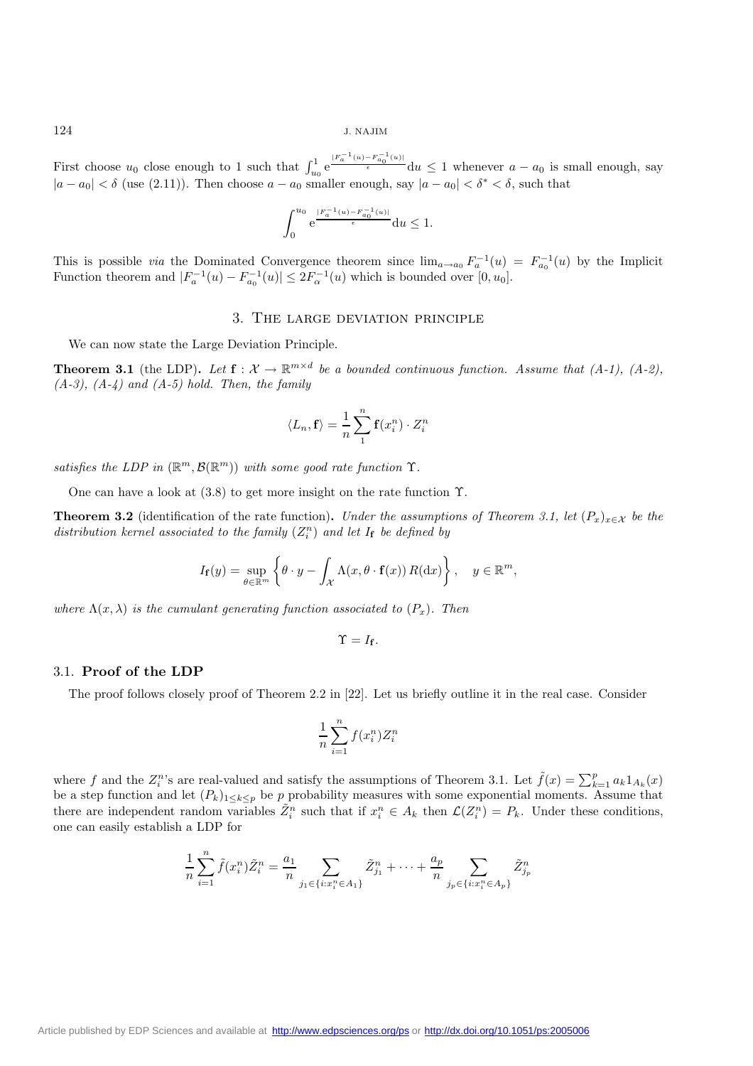First choose  $u_0$  close enough to 1 such that  $\int_{u_0}^1 e^{\frac{|F_a^{-1}(u)-F_{a_0}^{-1}(u)|}{\epsilon}} du \leq 1$  whenever  $a-a_0$  is small enough, say  $|a - a_0| < \delta$  (use (2.11)). Then choose  $a - a_0$  smaller enough, say  $|a - a_0| < \delta^* < \delta$ , such that

$$
\int_0^{u_0} {\rm e}^{\frac{|F_a^{-1}(u)-F_{a_0}^{-1}(u)|}{\epsilon}} {\rm d} u \leq 1.
$$

This is possible *via* the Dominated Convergence theorem since  $\lim_{a\to a_0} F_a^{-1}(u) = F_{a_0}^{-1}(u)$  by the Implicit Function theorem and  $|F_a^{-1}(u) - F_{a_0}^{-1}(u)| \leq 2F_{\alpha}^{-1}(u)$  which is bounded over  $[0, u_0]$ .

## 3. The large deviation principle

We can now state the Large Deviation Principle.

**Theorem 3.1** (the LDP). Let  $f: \mathcal{X} \to \mathbb{R}^{m \times d}$  be a bounded continuous function. Assume that (A-1), (A-2), *(A-3), (A-4) and (A-5) hold. Then, the family*

$$
\langle L_n, \mathbf{f} \rangle = \frac{1}{n} \sum_{1}^{n} \mathbf{f}(x_i^n) \cdot Z_i^n
$$

*satisfies the LDP in*  $(\mathbb{R}^m, \mathcal{B}(\mathbb{R}^m))$  *with some good rate function*  $\Upsilon$ *.* 

One can have a look at  $(3.8)$  to get more insight on the rate function  $\Upsilon$ .

**Theorem 3.2** (identification of the rate function). *Under the assumptions of Theorem 3.1, let*  $(P_x)_{x \in \mathcal{X}}$  *be the*  $distribution\,~kernel\,~associated\,~to\,~the\,~family\,~(Z_i^n)$  and let  $I_f$  be defined by

$$
I_{\mathbf{f}}(y) = \sup_{\theta \in \mathbb{R}^m} \left\{ \theta \cdot y - \int_{\mathcal{X}} \Lambda(x, \theta \cdot \mathbf{f}(x)) R(\mathrm{d}x) \right\}, \quad y \in \mathbb{R}^m,
$$

*where*  $\Lambda(x, \lambda)$  *is the cumulant generating function associated to*  $(P_x)$ *. Then* 

$$
\Upsilon=I_{\mathbf{f}}.
$$

#### 3.1. **Proof of the LDP**

The proof follows closely proof of Theorem 2.2 in [22]. Let us briefly outline it in the real case. Consider

$$
\frac{1}{n}\sum_{i=1}^n f(x_i^n)Z_i^n
$$

where f and the  $Z_i^n$ 's are real-valued and satisfy the assumptions of Theorem 3.1. Let  $\tilde{f}(x) = \sum_{k=1}^p a_k 1_{A_k}(x)$ be a step function and let  $(P_k)_{1\leq k\leq p}$  be p probability measures with some exponential moments. Assume that there are independent random variables  $\tilde{Z}_i^n$  such that if  $x_i^n \in A_k$  then  $\mathcal{L}(Z_i^n) = P_k$ . Under these conditions, one can easily establish a LDP for

$$
\frac{1}{n}\sum_{i=1}^{n}\tilde{f}(x_{i}^{n})\tilde{Z}_{i}^{n} = \frac{a_{1}}{n}\sum_{j_{1}\in\{i:x_{i}^{n}\in A_{1}\}}\tilde{Z}_{j_{1}}^{n} + \cdots + \frac{a_{p}}{n}\sum_{j_{p}\in\{i:x_{i}^{n}\in A_{p}\}}\tilde{Z}_{j_{p}}^{n}
$$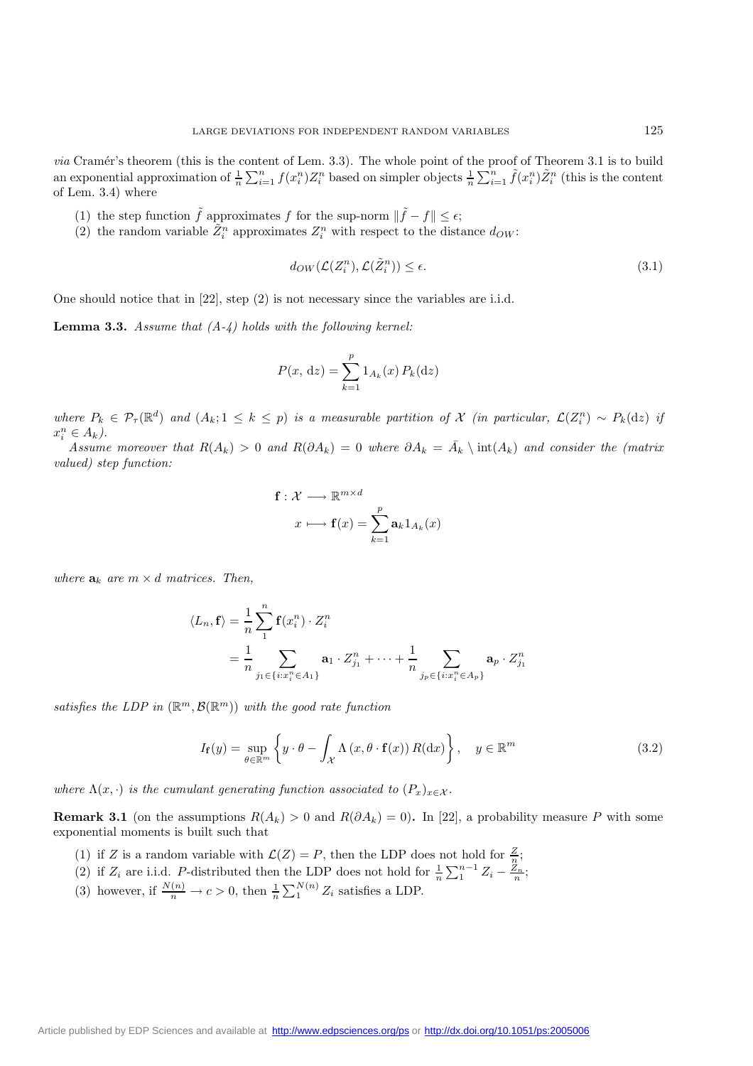*via* Cramér's theorem (this is the content of Lem. 3.3). The whole point of the proof of Theorem 3.1 is to build an exponential approximation of  $\frac{1}{n} \sum_{i=1}^{n} f(x_i^n) Z_i^n$  based on simpler objects  $\frac{1}{n} \sum_{i=1}^{n} \tilde{f}(x_i^n) \tilde{Z}_i^n$  (this is the content of Lem. 3.4) where

- (1) the step function  $\tilde{f}$  approximates f for the sup-norm  $\|\tilde{f} f\| \leq \epsilon$ ;
- (2) the random variable  $\tilde{Z}_i^n$  approximates  $Z_i^n$  with respect to the distance  $d_{OW}$ :

$$
d_{OW}(\mathcal{L}(Z_i^n), \mathcal{L}(\tilde{Z}_i^n)) \le \epsilon. \tag{3.1}
$$

One should notice that in [22], step (2) is not necessary since the variables are i.i.d.

**Lemma 3.3.** *Assume that (A-4) holds with the following kernel:*

$$
P(x, dz) = \sum_{k=1}^{p} 1_{A_k}(x) P_k(dz)
$$

*where*  $P_k \in \mathcal{P}_{\tau}(\mathbb{R}^d)$  and  $(A_k; 1 \leq k \leq p)$  is a measurable partition of X (in particular,  $\mathcal{L}(Z_i^n) \sim P_k(\mathrm{d}z)$  if  $x_i^n \in A_k$ ).

*Assume moreover that*  $R(A_k) > 0$  *and*  $R(\partial A_k) = 0$  *where*  $\partial A_k = \overline{A}_k \setminus \text{int}(A_k)$  *and consider the (matrix valued) step function:*

$$
\mathbf{f}: \mathcal{X} \longrightarrow \mathbb{R}^{m \times d}
$$

$$
x \longmapsto \mathbf{f}(x) = \sum_{k=1}^{p} \mathbf{a}_k \mathbf{1}_{A_k}(x)
$$

*where*  $a_k$  *are*  $m \times d$  *matrices. Then,* 

$$
\langle L_n, \mathbf{f} \rangle = \frac{1}{n} \sum_{1}^{n} \mathbf{f}(x_i^n) \cdot Z_i^n
$$
  
= 
$$
\frac{1}{n} \sum_{j_1 \in \{i : x_i^n \in A_1\}} \mathbf{a}_1 \cdot Z_{j_1}^n + \dots + \frac{1}{n} \sum_{j_p \in \{i : x_i^n \in A_p\}} \mathbf{a}_p \cdot Z_{j_1}^n
$$

*satisfies the LDP in*  $(\mathbb{R}^m, \mathcal{B}(\mathbb{R}^m))$  *with the good rate function* 

$$
I_{\mathbf{f}}(y) = \sup_{\theta \in \mathbb{R}^m} \left\{ y \cdot \theta - \int_{\mathcal{X}} \Lambda(x, \theta \cdot \mathbf{f}(x)) R(\mathrm{d}x) \right\}, \quad y \in \mathbb{R}^m \tag{3.2}
$$

*where*  $\Lambda(x, \cdot)$  *is the cumulant generating function associated to*  $(P_x)_{x \in \mathcal{X}}$ *.* 

**Remark 3.1** (on the assumptions  $R(A_k) > 0$  and  $R(\partial A_k) = 0$ ). In [22], a probability measure P with some exponential moments is built such that

- (1) if Z is a random variable with  $\mathcal{L}(Z) = P$ , then the LDP does not hold for  $\frac{Z}{n}$ ;
- (2) if  $Z_i$  are i.i.d. P-distributed then the LDP does not hold for  $\frac{1}{n} \sum_{1}^{n-1} Z_i \frac{Z_n}{n}$ ;
- (3) however, if  $\frac{N(n)}{n} \to c > 0$ , then  $\frac{1}{n} \sum_{1}^{N(n)} Z_i$  satisfies a LDP.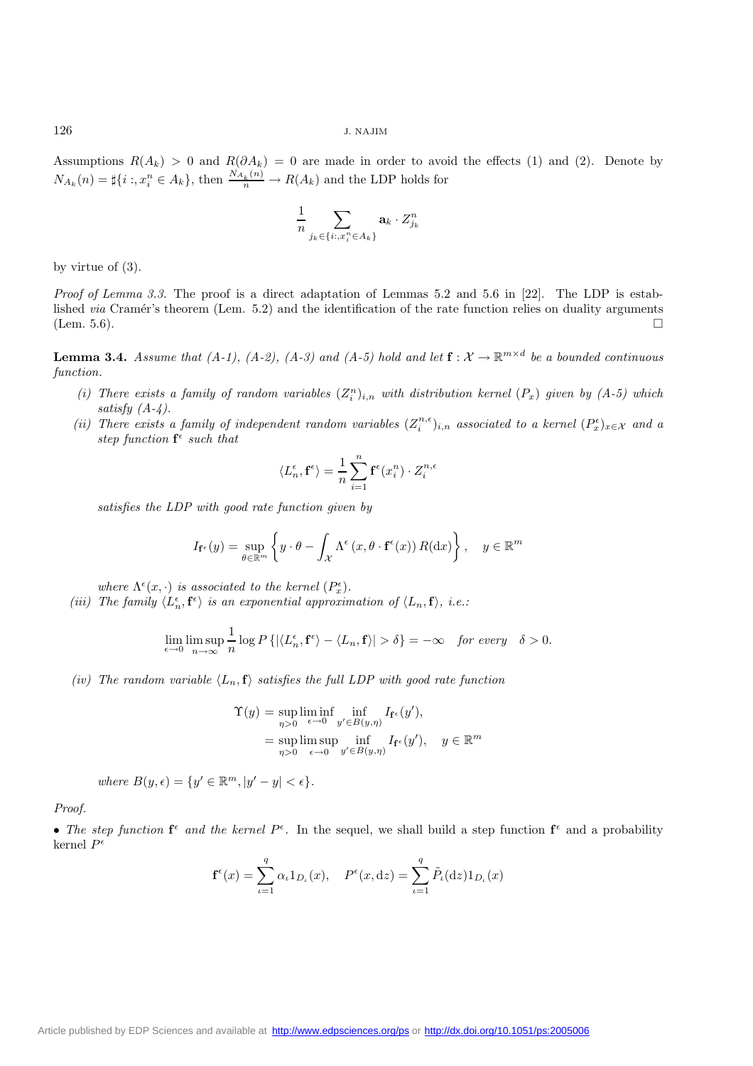Assumptions  $R(A_k) > 0$  and  $R(\partial A_k) = 0$  are made in order to avoid the effects (1) and (2). Denote by  $N_{A_k}(n) = \sharp \{i : x_i^n \in A_k\},\$  then  $\frac{N_{A_k}(n)}{n} \to R(A_k)$  and the LDP holds for

$$
\frac{1}{n} \sum_{j_k \in \{i: x_i^n \in A_k\}} \mathbf{a}_k \cdot Z_{j_k}^n
$$

by virtue of (3).

*Proof of Lemma 3.3.* The proof is a direct adaptation of Lemmas 5.2 and 5.6 in [22]. The LDP is established *via* Cramér's theorem (Lem. 5.2) and the identification of the rate function relies on duality arguments (Lem. 5.6).  $\square$ 

**Lemma 3.4.** *Assume that (A-1), (A-2), (A-3) and (A-5) hold and let*  $f: \mathcal{X} \to \mathbb{R}^{m \times d}$  *be a bounded continuous function.*

- (*i*) There exists a family of random variables  $(Z_i^n)_{i,n}$  with distribution kernel  $(P_x)$  given by  $(A-5)$  which *satisfy (A-4).*
- *(ii) There exists a family of independent random variables*  $(Z_i^{n,\epsilon})_{i,n}$  *associated to a kernel*  $(P_x^{\epsilon})_{x \in \mathcal{X}}$  *and a step function*  $f^{\epsilon}$  *such that*

$$
\langle L_n^{\epsilon}, \mathbf{f}^{\epsilon} \rangle = \frac{1}{n} \sum_{i=1}^n \mathbf{f}^{\epsilon}(x_i^n) \cdot Z_i^{n,\epsilon}
$$

*satisfies the LDP with good rate function given by*

$$
I_{\mathbf{f}^{\epsilon}}(y) = \sup_{\theta \in \mathbb{R}^m} \left\{ y \cdot \theta - \int_{\mathcal{X}} \Lambda^{\epsilon} (x, \theta \cdot \mathbf{f}^{\epsilon}(x)) R(\mathrm{d}x) \right\}, \quad y \in \mathbb{R}^m
$$

*where*  $\Lambda^{\epsilon}(x, \cdot)$  *is associated to the kernel*  $(P_x^{\epsilon})$ *.* 

*(iii)* The family  $\langle L_n^{\epsilon}, \mathbf{f}^{\epsilon} \rangle$  is an exponential approximation of  $\langle L_n, \mathbf{f} \rangle$ , i.e.:

$$
\lim_{\epsilon \to 0} \limsup_{n \to \infty} \frac{1}{n} \log P\left\{ |\langle L_n^{\epsilon}, \mathbf{f}^{\epsilon} \rangle - \langle L_n, \mathbf{f} \rangle| > \delta \right\} = -\infty \quad \text{for every} \quad \delta > 0.
$$

*(iv)* The random variable  $\langle L_n, \mathbf{f} \rangle$  satisfies the full LDP with good rate function

$$
\begin{aligned} \Upsilon(y) &= \sup_{\eta > 0} \liminf_{\epsilon \to 0} \inf_{y' \in B(y,\eta)} I_{\mathbf{f}^{\epsilon}}(y'), \\ &= \sup_{\eta > 0} \limsup_{\epsilon \to 0} \inf_{y' \in B(y,\eta)} I_{\mathbf{f}^{\epsilon}}(y'), \quad y \in \mathbb{R}^m \end{aligned}
$$

*where*  $B(y, \epsilon) = \{y' \in \mathbb{R}^m, |y' - y| < \epsilon\}.$ 

*Proof.*

• The step function  $f^{\epsilon}$  and the kernel  $P^{\epsilon}$ . In the sequel, we shall build a step function  $f^{\epsilon}$  and a probability kernel  $P^{\epsilon}$ 

$$
\mathbf{f}^{\epsilon}(x) = \sum_{\iota=1}^{q} \alpha_{\iota} 1_{D_{\iota}}(x), \quad P^{\epsilon}(x, dz) = \sum_{\iota=1}^{q} \tilde{P}_{\iota}(dz) 1_{D_{\iota}}(x)
$$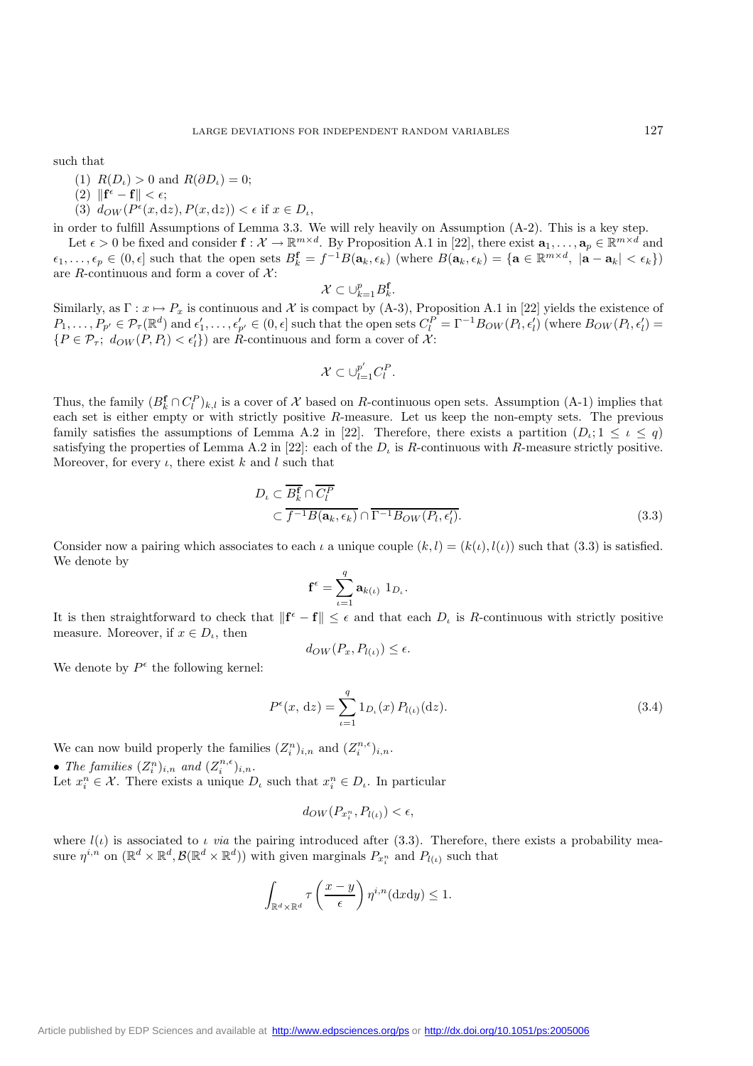such that

- (1)  $R(D_{\iota}) > 0$  and  $R(\partial D_{\iota}) = 0$ ;
- $(2)$   $\|\mathbf{f}^{\epsilon} \mathbf{f}\| < \epsilon;$
- (3)  $d_{OW}(P^{\epsilon}(x, dz), P(x, dz)) < \epsilon$  if  $x \in D_{\iota}$ ,

in order to fulfill Assumptions of Lemma 3.3. We will rely heavily on Assumption (A-2). This is a key step.

Let  $\epsilon > 0$  be fixed and consider  $\mathbf{f} : \mathcal{X} \to \mathbb{R}^{m \times d}$ . By Proposition A.1 in [22], there exist  $\mathbf{a}_1, \ldots, \mathbf{a}_p \in \mathbb{R}^{m \times d}$  and  $\epsilon_1, \ldots, \epsilon_p \in (0, \epsilon]$  such that the open sets  $B_k^{\mathbf{f}} = f^{-1}B(\mathbf{a}_k, \epsilon_k)$  (where  $B(\mathbf{a}_k, \epsilon_k) = {\mathbf{a} \in \mathbb{R}^{m \times d}, |\mathbf{a} - \mathbf{a}_k| < \epsilon_k}$ ) are R-continuous and form a cover of  $\mathcal{X}$ :

$$
\mathcal{X}\subset \cup_{k=1}^p B_k^{\mathbf{f}}.
$$

 $\mathcal{X} \subset \bigcup_{k=1}^p B_k^{\mathbf{f}}$ .<br>Similarly, as  $\Gamma: x \mapsto P_x$  is continuous and X is compact by (A-3), Proposition A.1 in [22] yields the existence of  $P_1,\ldots,P_{p'} \in \mathcal{P}_{\tau}(\mathbb{R}^d)$  and  $\epsilon'_1,\ldots,\epsilon'_{p'} \in (0,\epsilon]$  such that the open sets  $C_l^P = \Gamma^{-1}B_{OW}(P_l,\epsilon'_l)$  (where  $B_{OW}(P_l,\epsilon'_l) =$  $\{P \in \mathcal{P}_{\tau}; d_{OW}(P, P_l) < \epsilon'_l\}$  are  $\hat{R}$ -continuous and form a cover of  $\mathcal{X}$ :

$$
\mathcal{X} \subset \cup_{l=1}^{p'} C_l^P.
$$

Thus, the family  $(B_k^{\mathbf{f}} \cap C_l^P)_{k,l}$  is a cover of X based on R-continuous open sets. Assumption (A-1) implies that each set is either empty or with strictly positive R-measure. Let us keep the non-empty sets. The previous family satisfies the assumptions of Lemma A.2 in [22]. Therefore, there exists a partition  $(D_\iota; 1 \leq \iota \leq q)$ satisfying the properties of Lemma A.2 in [22]: each of the  $D_t$  is R-continuous with R-measure strictly positive. Moreover, for every  $\iota$ , there exist  $k$  and  $l$  such that

$$
D_{\iota} \subset \overline{B_{k}^{\mathbf{f}}} \cap \overline{C_{l}^{\mathbf{P}}} \subset \overline{f^{-1}B(\mathbf{a}_{k}, \epsilon_{k})} \cap \overline{\Gamma^{-1}B_{OW}(P_{l}, \epsilon_{l}^{\prime})}.
$$
\n(3.3)

Consider now a pairing which associates to each  $\iota$  a unique couple  $(k, l) = (k(\iota), l(\iota))$  such that (3.3) is satisfied. We denote by

$$
\mathbf{f}^{\epsilon} = \sum_{\iota=1}^{q} \mathbf{a}_{k(\iota)} \; 1_{D_{\iota}}.
$$

It is then straightforward to check that  $\|\mathbf{f}^{\epsilon} - \mathbf{f}\| \leq \epsilon$  and that each  $D_{\iota}$  is R-continuous with strictly positive measure. Moreover, if  $x \in D_i$ , then

$$
d_{OW}(P_x, P_{l(\iota)}) \le \epsilon.
$$

We denote by  $P^{\epsilon}$  the following kernel:

$$
P^{\epsilon}(x, dz) = \sum_{\iota=1}^{q} 1_{D_{\iota}}(x) P_{l(\iota)}(dz). \tag{3.4}
$$

We can now build properly the families  $(Z_i^n)_{i,n}$  and  $(Z_i^{n,\epsilon})_{i,n}$ .

• The families  $(Z_i^n)_{i,n}$  and  $(Z_i^{n,\epsilon})_{i,n}$ .

Let  $x_i^n \in \mathcal{X}$ . There exists a unique  $D_t$  such that  $x_i^n \in D_t$ . In particular

$$
d_{OW}(P_{x_i^n}, P_{l(\iota)}) < \epsilon,
$$

where  $l(\iota)$  is associated to  $\iota$  *via* the pairing introduced after (3.3). Therefore, there exists a probability measure  $\eta^{i,n}$  on  $(\mathbb{R}^d \times \mathbb{R}^d, \mathcal{B}(\mathbb{R}^d \times \mathbb{R}^d))$  with given marginals  $P_{x_i^n}$  and  $P_{l(\iota)}$  such that

$$
\int_{\mathbb{R}^d \times \mathbb{R}^d} \tau\left(\frac{x-y}{\epsilon}\right) \eta^{i,n}(\mathrm{d}x \mathrm{d}y) \le 1.
$$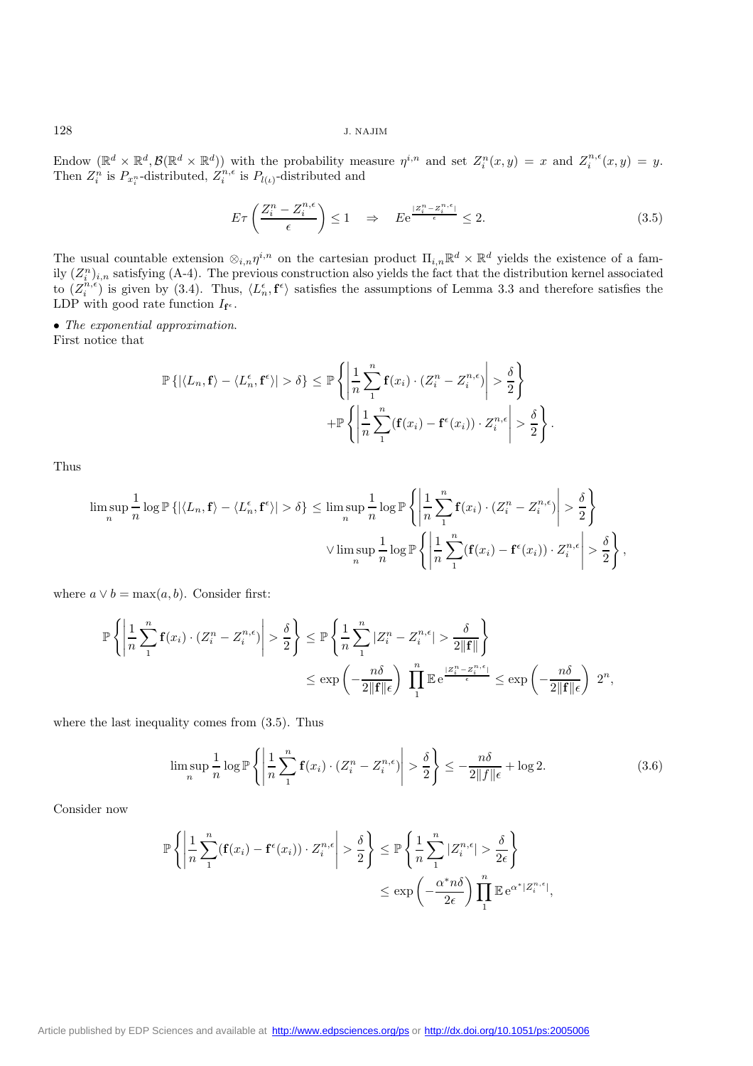Endow  $(\mathbb{R}^d \times \mathbb{R}^d, \mathcal{B}(\mathbb{R}^d \times \mathbb{R}^d))$  with the probability measure  $\eta^{i,n}$  and set  $Z_i^n(x,y) = x$  and  $Z_i^{n,\epsilon}(x,y) = y$ . Then  $Z_i^n$  is  $P_{x_i^n}$ -distributed,  $Z_i^{n,\epsilon}$  is  $P_{l(\iota)}$ -distributed and

$$
E\tau\left(\frac{Z_i^n - Z_i^{n,\epsilon}}{\epsilon}\right) \le 1 \quad \Rightarrow \quad E e^{\frac{|Z_i^n - Z_i^{n,\epsilon}|}{\epsilon}} \le 2. \tag{3.5}
$$

The usual countable extension  $\otimes_{i,n}\eta^{i,n}$  on the cartesian product  $\Pi_{i,n}\mathbb{R}^d\times\mathbb{R}^d$  yields the existence of a family  $(Z_i^n)_{i,n}$  satisfying (A-4). The previous construction also yields the fact that the distribution kernel associated to  $(Z_i^{n,\epsilon})$  is given by (3.4). Thus,  $\langle L_n^{\epsilon}, \mathbf{f}^{\epsilon} \rangle$  satisfies the assumptions of Lemma 3.3 and therefore satisfies the LDP with good rate function  $I_{\mathbf{f}^{\epsilon}}$ .

• *The exponential approximation*.

First notice that

$$
\mathbb{P}\left\{|\langle L_n, \mathbf{f}\rangle - \langle L_n^{\epsilon}, \mathbf{f}^{\epsilon}\rangle| > \delta\right\} \leq \mathbb{P}\left\{\left|\frac{1}{n}\sum_{i=1}^n \mathbf{f}(x_i) \cdot (Z_i^n - Z_i^{n,\epsilon})\right| > \frac{\delta}{2}\right\}
$$

$$
+ \mathbb{P}\left\{\left|\frac{1}{n}\sum_{i=1}^n (\mathbf{f}(x_i) - \mathbf{f}^{\epsilon}(x_i)) \cdot Z_i^{n,\epsilon}\right| > \frac{\delta}{2}\right\}.
$$

Thus

$$
\limsup_{n} \frac{1}{n} \log \mathbb{P} \left\{ |\langle L_n, \mathbf{f} \rangle - \langle L_n^{\epsilon}, \mathbf{f}^{\epsilon} \rangle| > \delta \right\} \leq \limsup_{n} \frac{1}{n} \log \mathbb{P} \left\{ \left| \frac{1}{n} \sum_{1}^{n} \mathbf{f}(x_i) \cdot (Z_i^n - Z_i^{n, \epsilon}) \right| > \frac{\delta}{2} \right\}
$$

$$
\vee \limsup_{n} \frac{1}{n} \log \mathbb{P} \left\{ \left| \frac{1}{n} \sum_{1}^{n} (\mathbf{f}(x_i) - \mathbf{f}^{\epsilon}(x_i)) \cdot Z_i^{n, \epsilon} \right| > \frac{\delta}{2} \right\},
$$

where  $a \vee b = \max(a, b)$ . Consider first:

$$
\mathbb{P}\left\{\left|\frac{1}{n}\sum_{1}^{n}\mathbf{f}(x_{i})\cdot\left(Z_{i}^{n}-Z_{i}^{n,\epsilon}\right)\right|>\frac{\delta}{2}\right\} \leq \mathbb{P}\left\{\frac{1}{n}\sum_{1}^{n}|Z_{i}^{n}-Z_{i}^{n,\epsilon}|>\frac{\delta}{2\|\mathbf{f}\|}\right\}
$$

$$
\leq \exp\left(-\frac{n\delta}{2\|\mathbf{f}\| \epsilon}\right)\prod_{1}^{n}\mathbb{E}e^{\frac{|Z_{i}^{n}-Z_{i}^{n,\epsilon}|}{\epsilon}} \leq \exp\left(-\frac{n\delta}{2\|\mathbf{f}\| \epsilon}\right)\ 2^{n},
$$

where the last inequality comes from (3.5). Thus

$$
\limsup_{n} \frac{1}{n} \log \mathbb{P}\left\{ \left| \frac{1}{n} \sum_{i=1}^{n} \mathbf{f}(x_i) \cdot (Z_i^n - Z_i^{n,\epsilon}) \right| > \frac{\delta}{2} \right\} \le -\frac{n\delta}{2\|f\|\epsilon} + \log 2. \tag{3.6}
$$

Consider now

$$
\mathbb{P}\left\{\left|\frac{1}{n}\sum_{i=1}^{n}(\mathbf{f}(x_{i})-\mathbf{f}^{\epsilon}(x_{i}))\cdot Z_{i}^{n,\epsilon}\right|>\frac{\delta}{2}\right\} \leq \mathbb{P}\left\{\frac{1}{n}\sum_{i=1}^{n}|Z_{i}^{n,\epsilon}|>\frac{\delta}{2\epsilon}\right\}
$$

$$
\leq \exp\left(-\frac{\alpha^{*}n\delta}{2\epsilon}\right)\prod_{i=1}^{n}\mathbb{E}e^{\alpha^{*}|Z_{i}^{n,\epsilon}|},
$$

[Article published by EDP Sciences and available at http://www.edpsciences.org/ps](http://www.edpsciences.org/ps) or <http://dx.doi.org/10.1051/ps:2005006>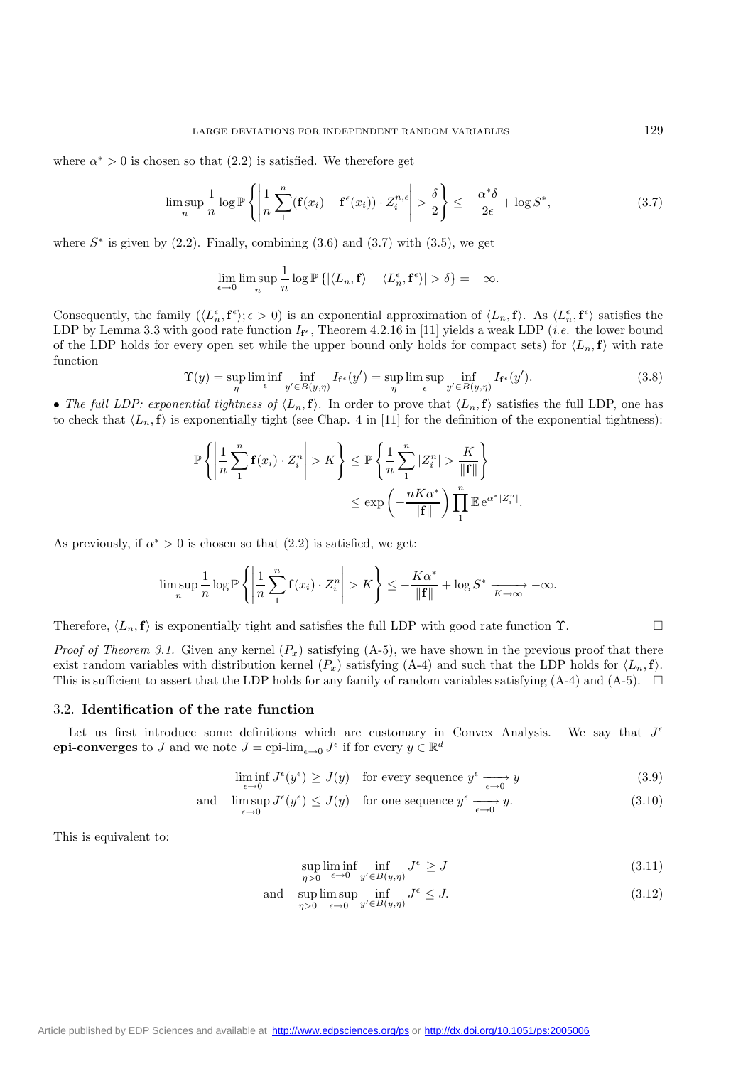where  $\alpha^* > 0$  is chosen so that  $(2.2)$  is satisfied. We therefore get

$$
\limsup_{n} \frac{1}{n} \log \mathbb{P}\left\{ \left| \frac{1}{n} \sum_{i=1}^{n} (\mathbf{f}(x_i) - \mathbf{f}^{\epsilon}(x_i)) \cdot Z_i^{n,\epsilon} \right| > \frac{\delta}{2} \right\} \le -\frac{\alpha^* \delta}{2\epsilon} + \log S^*,\tag{3.7}
$$

where  $S^*$  is given by (2.2). Finally, combining (3.6) and (3.7) with (3.5), we get

$$
\lim_{\epsilon \to 0} \limsup_{n} \frac{1}{n} \log \mathbb{P} \left\{ |\langle L_n, \mathbf{f} \rangle - \langle L_n^{\epsilon}, \mathbf{f}^{\epsilon} \rangle| > \delta \right\} = -\infty.
$$

Consequently, the family  $(\langle L_n^{\epsilon}, \mathbf{f}^{\epsilon} \rangle; \epsilon > 0)$  is an exponential approximation of  $\langle L_n, \mathbf{f} \rangle$ . As  $\langle L_n^{\epsilon}, \mathbf{f}^{\epsilon} \rangle$  satisfies the LDP by Lemma 3.3 with good rate function  $I_{f^e}$ , Theorem 4.2.16 in [11] yields a weak LDP (*i.e.* the lower bound of the LDP holds for every open set while the upper bound only holds for compact sets) for  $\langle L_n, \mathbf{f} \rangle$  with rate function

$$
\Upsilon(y) = \sup_{\eta} \liminf_{\epsilon} \inf_{y' \in B(y,\eta)} I_{\mathbf{f}^{\epsilon}}(y') = \sup_{\eta} \limsup_{\epsilon} \inf_{y' \in B(y,\eta)} I_{\mathbf{f}^{\epsilon}}(y'). \tag{3.8}
$$

• The full LDP: exponential tightness of  $\langle L_n, \mathbf{f} \rangle$ . In order to prove that  $\langle L_n, \mathbf{f} \rangle$  satisfies the full LDP, one has to check that  $\langle L_n, \mathbf{f} \rangle$  is exponentially tight (see Chap. 4 in [11] for the definition of the exponential tightness):

$$
\mathbb{P}\left\{\left|\frac{1}{n}\sum_{1}^{n}\mathbf{f}(x_{i})\cdot Z_{i}^{n}\right|>K\right\}\leq \mathbb{P}\left\{\frac{1}{n}\sum_{1}^{n}|Z_{i}^{n}|>\frac{K}{\|\mathbf{f}\|}\right\}
$$

$$
\leq \exp\left(-\frac{nK\alpha^{*}}{\|\mathbf{f}\|}\right)\prod_{1}^{n}\mathbb{E}e^{\alpha^{*}|Z_{i}^{n}|}.
$$

As previously, if  $\alpha^* > 0$  is chosen so that  $(2.2)$  is satisfied, we get:

$$
\limsup_{n} \frac{1}{n} \log \mathbb{P}\left\{ \left| \frac{1}{n} \sum_{1}^{n} \mathbf{f}(x_i) \cdot Z_i^n \right| > K \right\} \le -\frac{K\alpha^*}{\|\mathbf{f}\|} + \log S^* \xrightarrow[K \to \infty]{} -\infty.
$$

Therefore,  $\langle L_n, \mathbf{f} \rangle$  is exponentially tight and satisfies the full LDP with good rate function  $\Upsilon$ .

*Proof of Theorem 3.1.* Given any kernel  $(P_x)$  satisfying  $(A-5)$ , we have shown in the previous proof that there exist random variables with distribution kernel  $(P_x)$  satisfying (A-4) and such that the LDP holds for  $\langle L_n, \mathbf{f} \rangle$ . This is sufficient to assert that the LDP holds for any family of random variables satisfying  $(A-4)$  and  $(A-5)$ .  $\square$ 

#### 3.2. **Identification of the rate function**

Let us first introduce some definitions which are customary in Convex Analysis. We say that  $J^{\epsilon}$ **epi-converges** to J and we note  $J =$  epi-lim<sub> $\epsilon \to 0$ </sub>  $J^{\epsilon}$  if for every  $y \in \mathbb{R}^d$ 

$$
\liminf_{\epsilon \to 0} J^{\epsilon}(y^{\epsilon}) \geq J(y) \quad \text{for every sequence } y^{\epsilon} \xrightarrow[\epsilon \to 0]{} y \tag{3.9}
$$

and 
$$
\limsup_{\epsilon \to 0} J^{\epsilon}(y^{\epsilon}) \leq J(y)
$$
 for one sequence  $y^{\epsilon} \xrightarrow[\epsilon \to 0]{} y$ . (3.10)

This is equivalent to:

$$
\sup_{\eta>0} \liminf_{\epsilon \to 0} \inf_{y' \in B(y,\eta)} J^{\epsilon} \ge J \tag{3.11}
$$

and 
$$
\sup_{\eta>0} \limsup_{\epsilon \to 0} \inf_{y' \in B(y,\eta)} J^{\epsilon} \leq J.
$$
 (3.12)

[Article published by EDP Sciences and available at http://www.edpsciences.org/ps](http://www.edpsciences.org/ps) or <http://dx.doi.org/10.1051/ps:2005006>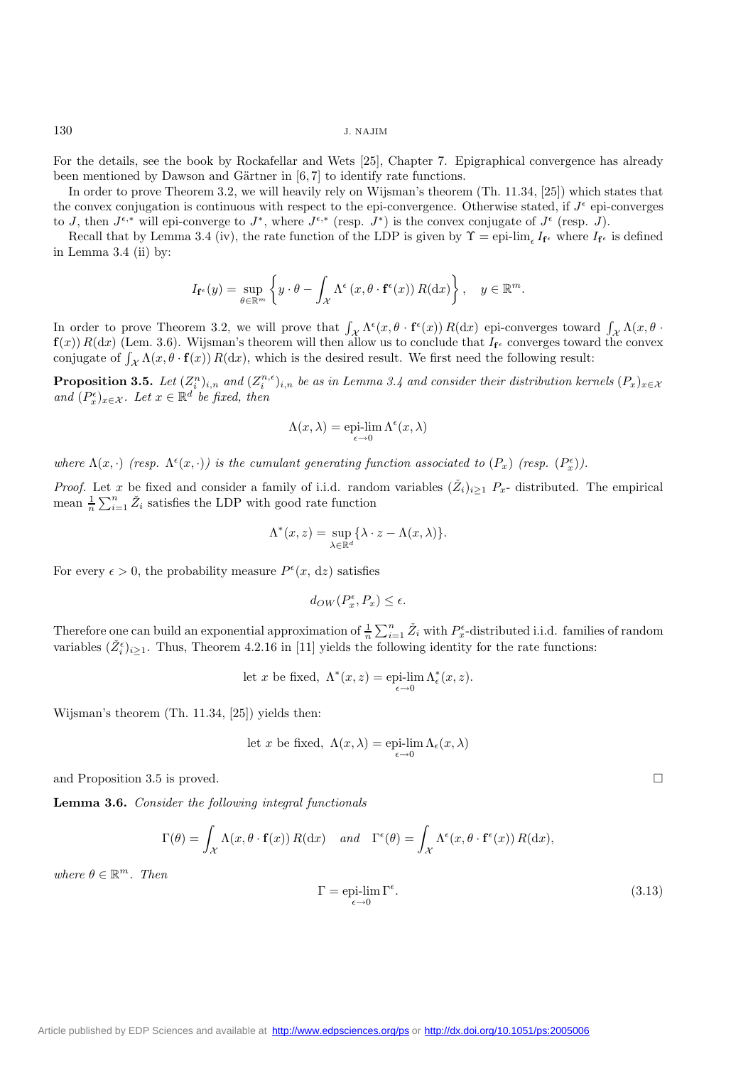For the details, see the book by Rockafellar and Wets [25], Chapter 7. Epigraphical convergence has already been mentioned by Dawson and Gärtner in  $[6, 7]$  to identify rate functions.

In order to prove Theorem 3.2, we will heavily rely on Wijsman's theorem (Th. 11.34, [25]) which states that the convex conjugation is continuous with respect to the epi-convergence. Otherwise stated, if  $J^{\epsilon}$  epi-converges to J, then  $J^{\epsilon,*}$  will epi-converge to  $J^*$ , where  $J^{\epsilon,*}$  (resp.  $J^*$ ) is the convex conjugate of  $J^{\epsilon}$  (resp. J).

Recall that by Lemma 3.4 (iv), the rate function of the LDP is given by  $\Upsilon = epi$ -lim<sub>e</sub> I<sub>I</sub><sup> $\epsilon$ </sup> where I<sub>I</sub><sup> $\epsilon$ </sup> is defined in Lemma 3.4 (ii) by:

$$
I_{\mathbf{f}^{\epsilon}}(y) = \sup_{\theta \in \mathbb{R}^m} \left\{ y \cdot \theta - \int_{\mathcal{X}} \Lambda^{\epsilon} \left( x, \theta \cdot \mathbf{f}^{\epsilon}(x) \right) R(\mathrm{d}x) \right\}, \quad y \in \mathbb{R}^m.
$$

In order to prove Theorem 3.2, we will prove that  $\int_{\mathcal{X}} \Lambda^{\epsilon}(x, \theta \cdot \mathbf{f}^{\epsilon}(x)) R(dx)$  epi-converges toward  $\int_{\mathcal{X}} \Lambda(x, \theta \cdot \mathbf{f}^{\epsilon}(x)) R(dx)$  $f(x)$   $R(dx)$  (Lem. 3.6). Wijsman's theorem will then allow us to conclude that  $I_f$  converges toward the convex conjugate of  $\int_{\mathcal{X}} \Lambda(x, \theta \cdot \mathbf{f}(x)) R(dx)$ , which is the desired result. We first need the following result:

**Proposition 3.5.** *Let*  $(Z_i^n)_{i,n}$  *and*  $(Z_i^{n,\epsilon})_{i,n}$  *be as in Lemma 3.4 and consider their distribution kernels*  $(P_x)_{x \in X}$ *and*  $(P_x^{\epsilon})_{x \in \mathcal{X}}$ *. Let*  $x \in \mathbb{R}^d$  *be fixed, then* 

$$
\Lambda(x,\lambda) = \operatorname*{epi-lim}_{\epsilon \to 0} \Lambda^{\epsilon}(x,\lambda)
$$

where  $\Lambda(x, \cdot)$  (resp.  $\Lambda^{\epsilon}(x, \cdot)$ ) is the cumulant generating function associated to  $(P_x)$  (resp.  $(P_x^{\epsilon})$ ).

*Proof.* Let x be fixed and consider a family of i.i.d. random variables  $(\check{Z}_i)_{i\geq 1} P_x$ - distributed. The empirical mean  $\frac{1}{n} \sum_{i=1}^{n} \check{Z}_i$  satisfies the LDP with good rate function

$$
\Lambda^*(x,z)=\sup_{\lambda\in\mathbb{R}^d}\{\lambda\cdot z-\Lambda(x,\lambda)\}.
$$

For every  $\epsilon > 0$ , the probability measure  $P^{\epsilon}(x, dz)$  satisfies

$$
d_{OW}(P_x^{\epsilon}, P_x) \leq \epsilon.
$$

Therefore one can build an exponential approximation of  $\frac{1}{n} \sum_{i=1}^{n} \tilde{Z}_i$  with  $P_{\varepsilon}^{\varepsilon}$ -distributed i.i.d. families of random unrighted  $(\tilde{Z}^{\varepsilon})$ . Thus, Theorem 4.2.16 in [11] violds the following ide variables  $(\check{Z}_{i}^{\epsilon})_{i\geq 1}$ . Thus, Theorem 4.2.16 in [11] yields the following identity for the rate functions:

let x be fixed, 
$$
\Lambda^*(x, z) = \text{epi-lim }\Lambda^*_\epsilon(x, z)
$$
.

Wijsman's theorem (Th. 11.34, [25]) yields then:

let x be fixed, 
$$
\Lambda(x,\lambda) = \operatorname{epi-lim}_{\epsilon \to 0} \Lambda_{\epsilon}(x,\lambda)
$$

and Proposition 3.5 is proved.

**Lemma 3.6.** *Consider the following integral functionals*

$$
\Gamma(\theta) = \int_{\mathcal{X}} \Lambda(x, \theta \cdot \mathbf{f}(x)) R(dx) \quad and \quad \Gamma^{\epsilon}(\theta) = \int_{\mathcal{X}} \Lambda^{\epsilon}(x, \theta \cdot \mathbf{f}^{\epsilon}(x)) R(dx),
$$

 $where \theta \in \mathbb{R}^m$ . Then

$$
\Gamma = \text{epi-lim }\Gamma^{\epsilon}.
$$
\n(3.13)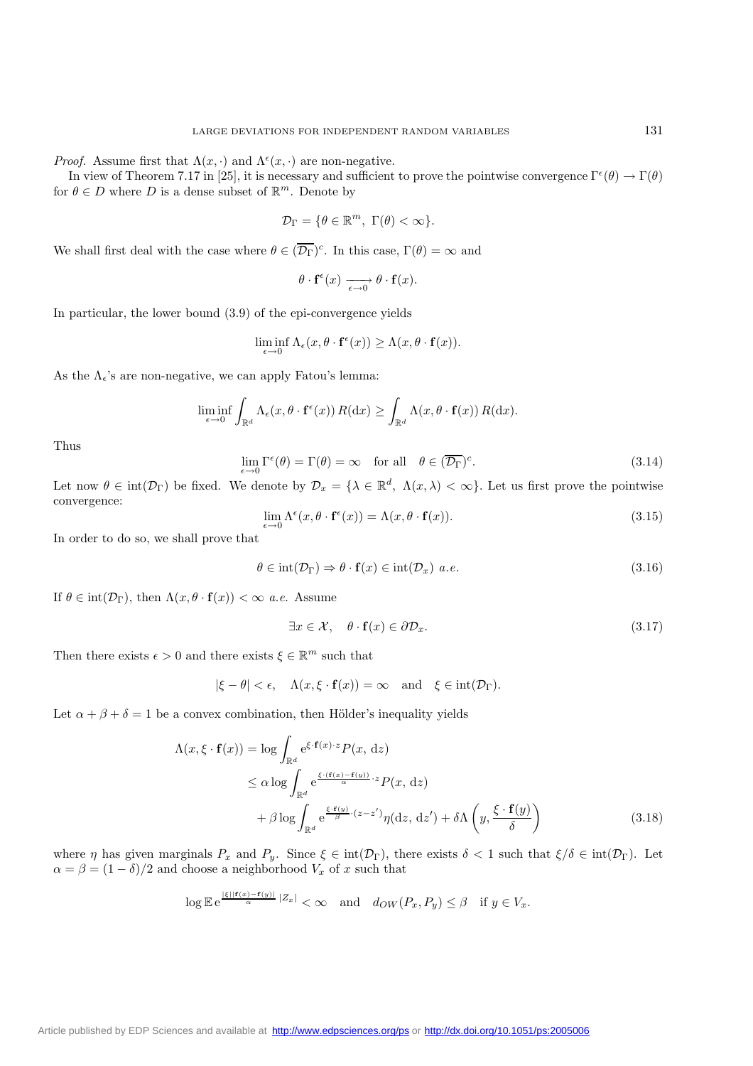*Proof.* Assume first that  $\Lambda(x, \cdot)$  and  $\Lambda^{\epsilon}(x, \cdot)$  are non-negative.

In view of Theorem 7.17 in [25], it is necessary and sufficient to prove the pointwise convergence  $\Gamma^{\epsilon}(\theta) \to \Gamma(\theta)$ for  $\theta \in D$  where D is a dense subset of  $\mathbb{R}^m$ . Denote by

$$
\mathcal{D}_{\Gamma} = \{ \theta \in \mathbb{R}^m, \; \Gamma(\theta) < \infty \}.
$$

We shall first deal with the case where  $\theta \in (\overline{\mathcal{D}_{\Gamma}})^c$ . In this case,  $\Gamma(\theta) = \infty$  and

$$
\theta \cdot \mathbf{f}^{\epsilon}(x) \xrightarrow[\epsilon \to 0]{} \theta \cdot \mathbf{f}(x).
$$

In particular, the lower bound (3.9) of the epi-convergence yields

$$
\liminf_{\epsilon \to 0} \Lambda_{\epsilon}(x, \theta \cdot \mathbf{f}^{\epsilon}(x)) \geq \Lambda(x, \theta \cdot \mathbf{f}(x)).
$$

As the  $\Lambda_{\epsilon}$ 's are non-negative, we can apply Fatou's lemma:

$$
\liminf_{\epsilon \to 0} \int_{\mathbb{R}^d} \Lambda_{\epsilon}(x, \theta \cdot \mathbf{f}^{\epsilon}(x)) R(\mathrm{d}x) \ge \int_{\mathbb{R}^d} \Lambda(x, \theta \cdot \mathbf{f}(x)) R(\mathrm{d}x).
$$

Thus

$$
\lim_{\epsilon \to 0} \Gamma^{\epsilon}(\theta) = \Gamma(\theta) = \infty \quad \text{for all} \quad \theta \in (\overline{\mathcal{D}_{\Gamma}})^c.
$$
\n(3.14)

Let now  $\theta \in \text{int}(\mathcal{D}_{\Gamma})$  be fixed. We denote by  $\mathcal{D}_x = {\lambda \in \mathbb{R}^d, \ \Lambda(x,\lambda) < \infty}$ . Let us first prove the pointwise convergence:

$$
\lim_{\epsilon \to 0} \Lambda^{\epsilon}(x, \theta \cdot \mathbf{f}^{\epsilon}(x)) = \Lambda(x, \theta \cdot \mathbf{f}(x)).
$$
\n(3.15)

In order to do so, we shall prove that

$$
\theta \in \text{int}(\mathcal{D}_{\Gamma}) \Rightarrow \theta \cdot \mathbf{f}(x) \in \text{int}(\mathcal{D}_{x}) \ a.e. \tag{3.16}
$$

If  $\theta \in \text{int}(\mathcal{D}_{\Gamma})$ , then  $\Lambda(x, \theta \cdot \mathbf{f}(x)) < \infty$  *a.e.* Assume

$$
\exists x \in \mathcal{X}, \quad \theta \cdot \mathbf{f}(x) \in \partial \mathcal{D}_x. \tag{3.17}
$$

Then there exists  $\epsilon > 0$  and there exists  $\xi \in \mathbb{R}^m$  such that

$$
|\xi - \theta| < \epsilon
$$
,  $\Lambda(x, \xi \cdot \mathbf{f}(x)) = \infty$  and  $\xi \in \text{int}(\mathcal{D}_{\Gamma})$ .

Let  $\alpha + \beta + \delta = 1$  be a convex combination, then Hölder's inequality yields

$$
\Lambda(x,\xi \cdot \mathbf{f}(x)) = \log \int_{\mathbb{R}^d} e^{\xi \cdot \mathbf{f}(x) \cdot z} P(x, dz)
$$
  
\n
$$
\leq \alpha \log \int_{\mathbb{R}^d} e^{\frac{\xi \cdot (\mathbf{f}(x) - \mathbf{f}(y))}{\alpha} \cdot z} P(x, dz)
$$
  
\n
$$
+ \beta \log \int_{\mathbb{R}^d} e^{\frac{\xi \cdot \mathbf{f}(y)}{\beta} \cdot (z - z')} \eta(dz, dz') + \delta \Lambda \left(y, \frac{\xi \cdot \mathbf{f}(y)}{\delta}\right)
$$
(3.18)

where  $\eta$  has given marginals  $P_x$  and  $P_y$ . Since  $\xi \in \text{int}(\mathcal{D}_\Gamma)$ , there exists  $\delta < 1$  such that  $\xi/\delta \in \text{int}(\mathcal{D}_\Gamma)$ . Let  $\alpha = \beta = (1 - \delta)/2$  and choose a neighborhood  $V_x$  of x such that

$$
\log \mathbb{E} e^{\frac{|\xi||\mathbf{f}(x) - \mathbf{f}(y)|}{\alpha} |Z_x|} < \infty \quad \text{and} \quad d_{OW}(P_x, P_y) \le \beta \quad \text{if } y \in V_x.
$$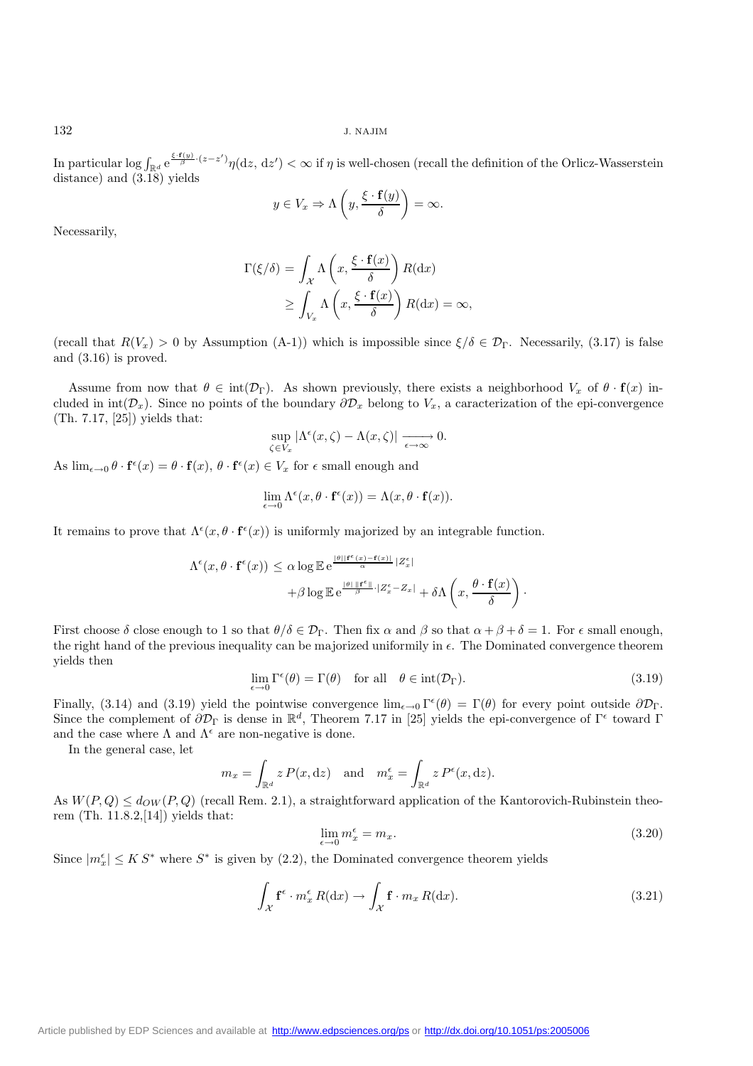In particular  $\log \int_{\mathbb{R}^d} e^{\frac{\xi \cdot \mathbf{f}(y)}{\beta} \cdot (z-z')} \eta(\mathrm{d}z, \, \mathrm{d}z') < \infty$  if  $\eta$  is well-chosen (recall the definition of the Orlicz-Wasserstein distance) and (3.18) yields

$$
y \in V_x \Rightarrow \Lambda\left(y, \frac{\xi \cdot \mathbf{f}(y)}{\delta}\right) = \infty.
$$

Necessarily,

$$
\Gamma(\xi/\delta) = \int_{\mathcal{X}} \Lambda\left(x, \frac{\xi \cdot \mathbf{f}(x)}{\delta}\right) R(\mathrm{d}x)
$$

$$
\geq \int_{V_x} \Lambda\left(x, \frac{\xi \cdot \mathbf{f}(x)}{\delta}\right) R(\mathrm{d}x) = \infty,
$$

(recall that  $R(V_x) > 0$  by Assumption (A-1)) which is impossible since  $\xi/\delta \in \mathcal{D}_\Gamma$ . Necessarily, (3.17) is false and (3.16) is proved.

Assume from now that  $\theta \in \text{int}(\mathcal{D}_{\Gamma})$ . As shown previously, there exists a neighborhood  $V_x$  of  $\theta \cdot \mathbf{f}(x)$  included in int( $\mathcal{D}_x$ ). Since no points of the boundary  $\partial \mathcal{D}_x$  belong to  $V_x$ , a caracterization of the epi-convergence (Th. 7.17, [25]) yields that:

$$
\sup_{\zeta \in V_x} |\Lambda^\epsilon(x,\zeta) - \Lambda(x,\zeta)| \xrightarrow[\epsilon \to \infty]{} 0.
$$

As  $\lim_{\epsilon \to 0} \theta \cdot \mathbf{f}^{\epsilon}(x) = \theta \cdot \mathbf{f}(x), \theta \cdot \mathbf{f}^{\epsilon}(x) \in V_{x}$  for  $\epsilon$  small enough and

$$
\lim_{\epsilon \to 0} \Lambda^{\epsilon}(x, \theta \cdot \mathbf{f}^{\epsilon}(x)) = \Lambda(x, \theta \cdot \mathbf{f}(x)).
$$

It remains to prove that  $\Lambda^{\epsilon}(x, \theta \cdot \mathbf{f}^{\epsilon}(x))$  is uniformly majorized by an integrable function.

$$
\Lambda^{\epsilon}(x, \theta \cdot \mathbf{f}^{\epsilon}(x)) \leq \alpha \log \mathbb{E} e^{\frac{|\theta| |\mathbf{f}^{\epsilon}(x) - \mathbf{f}(x)|}{\alpha} |Z_{x}^{\epsilon}|} + \beta \log \mathbb{E} e^{\frac{|\theta| |\mathbf{f}^{\epsilon}|}{\beta} \cdot |Z_{x}^{\epsilon} - Z_{x}|} + \delta \Lambda \left( x, \frac{\theta \cdot \mathbf{f}(x)}{\delta} \right).
$$

First choose  $\delta$  close enough to 1 so that  $\theta/\delta \in \mathcal{D}_{\Gamma}$ . Then fix  $\alpha$  and  $\beta$  so that  $\alpha + \beta + \delta = 1$ . For  $\epsilon$  small enough, the right hand of the previous inequality can be majorized uniformily in  $\epsilon$ . The Dominated convergence theorem yields then

$$
\lim_{\epsilon \to 0} \Gamma^{\epsilon}(\theta) = \Gamma(\theta) \quad \text{for all} \quad \theta \in \text{int}(\mathcal{D}_{\Gamma}). \tag{3.19}
$$

Finally, (3.14) and (3.19) yield the pointwise convergence  $\lim_{\epsilon \to 0} \Gamma^{\epsilon}(\theta) = \Gamma(\theta)$  for every point outside  $\partial \mathcal{D}_{\Gamma}$ . Since the complement of  $\partial \mathcal{D}_{\Gamma}$  is dense in  $\mathbb{R}^{d}$ , Theorem 7.17 in [25] yields the epi-convergence of  $\Gamma^{\epsilon}$  toward  $\Gamma$ and the case where  $\Lambda$  and  $\Lambda^{\epsilon}$  are non-negative is done.

In the general case, let

$$
m_x = \int_{\mathbb{R}^d} z P(x, dz)
$$
 and  $m_x^{\epsilon} = \int_{\mathbb{R}^d} z P^{\epsilon}(x, dz)$ .

As  $W(P,Q) \leq d_{OW}(P,Q)$  (recall Rem. 2.1), a straightforward application of the Kantorovich-Rubinstein theorem (Th. 11.8.2,[14]) yields that:

$$
\lim_{\epsilon \to 0} m_x^{\epsilon} = m_x. \tag{3.20}
$$

Since  $|m_x^{\epsilon}| \leq K S^*$  where  $S^*$  is given by (2.2), the Dominated convergence theorem yields

$$
\int_{\mathcal{X}} \mathbf{f}^{\epsilon} \cdot m_{x}^{\epsilon} R(\mathrm{d}x) \to \int_{\mathcal{X}} \mathbf{f} \cdot m_{x} R(\mathrm{d}x). \tag{3.21}
$$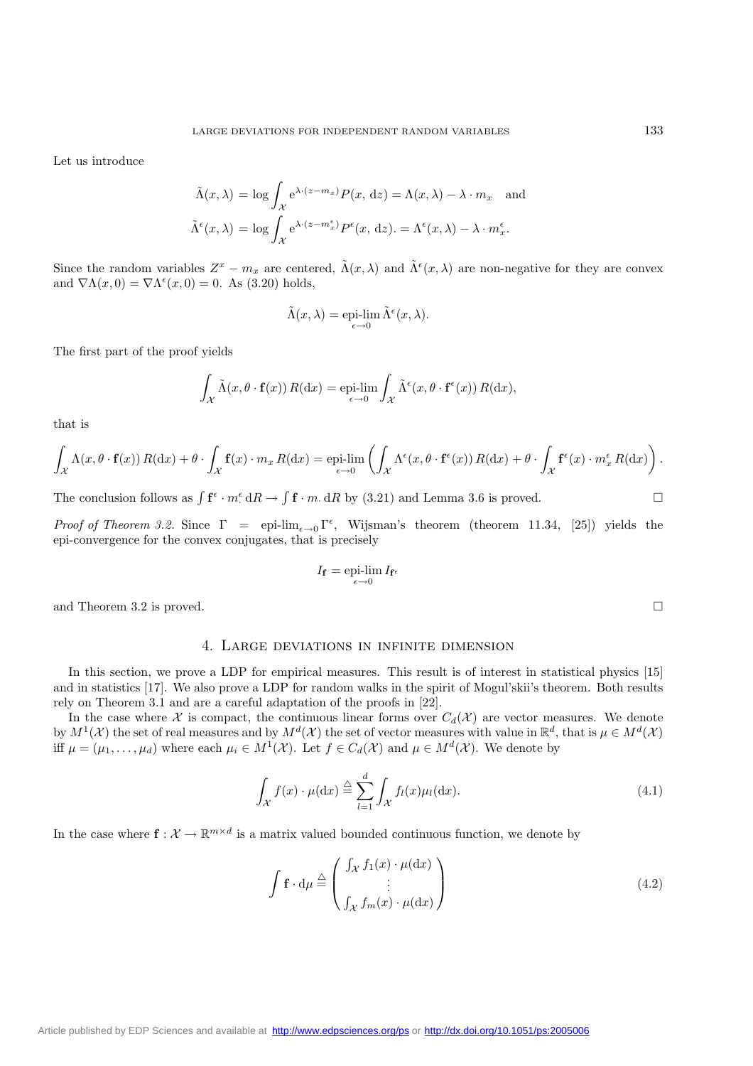Let us introduce

$$
\tilde{\Lambda}(x,\lambda) = \log \int_{\mathcal{X}} e^{\lambda \cdot (z - m_x)} P(x, dz) = \Lambda(x,\lambda) - \lambda \cdot m_x \text{ and}
$$

$$
\tilde{\Lambda}^{\epsilon}(x,\lambda) = \log \int_{\mathcal{X}} e^{\lambda \cdot (z - m_x^{\epsilon})} P^{\epsilon}(x, dz) = \Lambda^{\epsilon}(x,\lambda) - \lambda \cdot m_x^{\epsilon}.
$$

Since the random variables  $Z^x - m_x$  are centered,  $\tilde{\Lambda}(x, \lambda)$  and  $\tilde{\Lambda}^{\epsilon}(x, \lambda)$  are non-negative for they are convex and  $\nabla \Lambda(x,0) = \nabla \Lambda^{\epsilon}(x,0) = 0$ . As (3.20) holds,

$$
\tilde{\Lambda}(x,\lambda) = \operatorname{epi-lim}_{\epsilon \to 0} \tilde{\Lambda}^{\epsilon}(x,\lambda).
$$

The first part of the proof yields

$$
\int_{\mathcal{X}} \tilde{\Lambda}(x, \theta \cdot \mathbf{f}(x)) R(dx) = \operatorname{epi-lim}_{\epsilon \to 0} \int_{\mathcal{X}} \tilde{\Lambda}^{\epsilon}(x, \theta \cdot \mathbf{f}^{\epsilon}(x)) R(dx),
$$

that is

$$
\int_{\mathcal{X}} \Lambda(x,\theta \cdot \mathbf{f}(x)) R(dx) + \theta \cdot \int_{\mathcal{X}} \mathbf{f}(x) \cdot m_x R(dx) = \underset{\epsilon \to 0}{\text{epi-lim}} \left( \int_{\mathcal{X}} \Lambda^{\epsilon}(x,\theta \cdot \mathbf{f}^{\epsilon}(x)) R(dx) + \theta \cdot \int_{\mathcal{X}} \mathbf{f}^{\epsilon}(x) \cdot m_x^{\epsilon} R(dx) \right).
$$

The conclusion follows as  $\int \mathbf{f} \cdot m \cdot dR \to \int \mathbf{f} \cdot m \cdot dR$  by (3.21) and Lemma 3.6 is proved.

*Proof of Theorem 3.2.* Since  $\Gamma = \text{epi-lim}_{\epsilon \to 0} \Gamma^{\epsilon}$ , Wijsman's theorem (theorem 11.34, [25]) yields the epi-convergence for the convex conjugates, that is precisely

$$
I_{\mathbf{f}} = \underset{\epsilon \to 0}{\operatorname{epi-lim}} \, I_{\mathbf{f}^{\epsilon}}
$$

and Theorem 3.2 is proved.  $\square$ 

## 4. Large deviations in infinite dimension

In this section, we prove a LDP for empirical measures. This result is of interest in statistical physics [15] and in statistics [17]. We also prove a LDP for random walks in the spirit of Mogul'skii's theorem. Both results rely on Theorem 3.1 and are a careful adaptation of the proofs in [22].

In the case where X is compact, the continuous linear forms over  $C_d(\mathcal{X})$  are vector measures. We denote by  $M^1(\mathcal{X})$  the set of real measures and by  $M^d(\mathcal{X})$  the set of vector measures with value in  $\mathbb{R}^d$ , that is  $\mu \in M^d(\mathcal{X})$ iff  $\mu = (\mu_1, \ldots, \mu_d)$  where each  $\mu_i \in M^1(\mathcal{X})$ . Let  $f \in C_d(\mathcal{X})$  and  $\mu \in M^d(\mathcal{X})$ . We denote by

$$
\int_{\mathcal{X}} f(x) \cdot \mu(\mathrm{d}x) \stackrel{\triangle}{=} \sum_{l=1}^{d} \int_{\mathcal{X}} f_l(x) \mu_l(\mathrm{d}x). \tag{4.1}
$$

In the case where  $\mathbf{f}: \mathcal{X} \to \mathbb{R}^{m \times d}$  is a matrix valued bounded continuous function, we denote by

$$
\int \mathbf{f} \cdot d\mu \stackrel{\triangle}{=} \begin{pmatrix} \int_{\mathcal{X}} f_1(x) \cdot \mu(dx) \\ \vdots \\ \int_{\mathcal{X}} f_m(x) \cdot \mu(dx) \end{pmatrix}
$$
\n(4.2)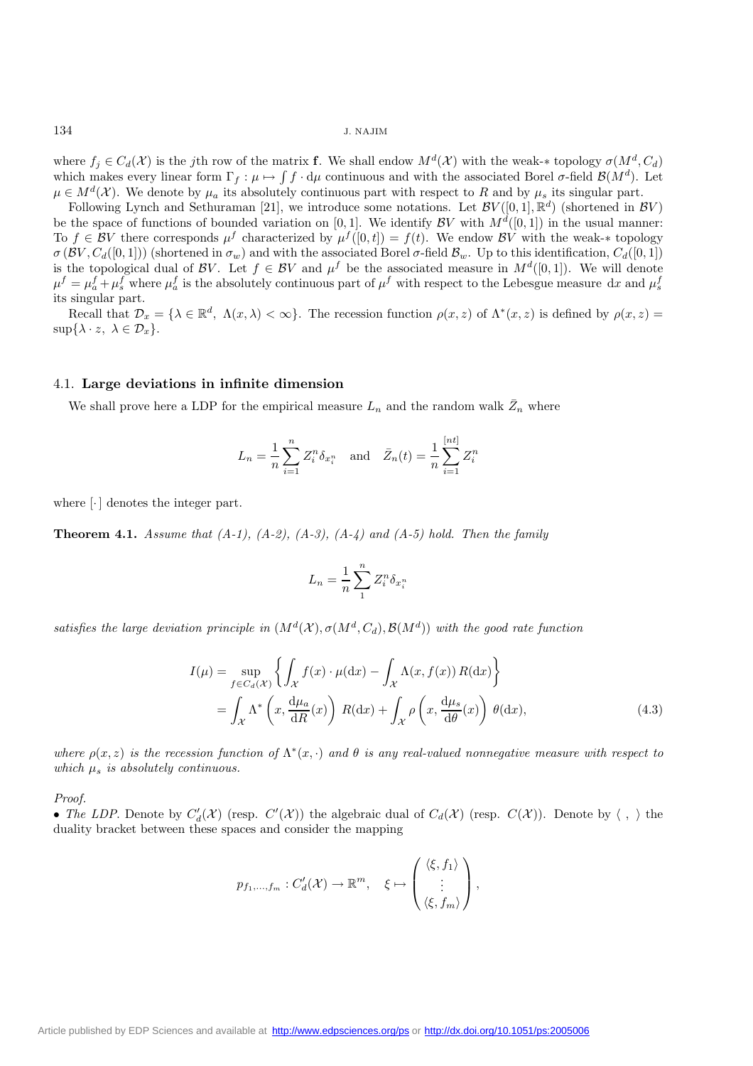where  $f_i \in C_d(\mathcal{X})$  is the jth row of the matrix **f**. We shall endow  $M^d(\mathcal{X})$  with the weak-\* topology  $\sigma(M^d, C_d)$ which makes every linear form  $\Gamma_f : \mu \mapsto \int f \cdot d\mu$  continuous and with the associated Borel  $\sigma$ -field  $\mathcal{B}(M^d)$ . Let  $\mu \in M^d(\mathcal{X})$ . We denote by  $\mu_a$  its absolutely continuous part with respect to R and by  $\mu_s$  its singular part.

Following Lynch and Sethuraman [21], we introduce some notations. Let  $\mathcal{BV}([0,1], \mathbb{R}^d)$  (shortened in  $\mathcal{BV}$ ) be the space of functions of bounded variation on [0, 1]. We identify  $\mathcal{BV}$  with  $M^d([0,1])$  in the usual manner: To  $f \in BV$  there corresponds  $\mu^f$  characterized by  $\mu^f([0,t]) = f(t)$ . We endow BV with the weak-\* topology  $\sigma(\mathcal{BV},C_d([0,1]))$  (shortened in  $\sigma_w$ ) and with the associated Borel  $\sigma$ -field  $\mathcal{B}_w$ . Up to this identification,  $C_d([0,1])$ is the topological dual of BV. Let  $f \in BV$  and  $\mu^f$  be the associated measure in  $M^d([0,1])$ . We will denote  $\mu^f = \mu_a^f + \mu_s^f$  where  $\mu_a^f$  is the absolutely continuous part of  $\mu^f$  with respect to the Lebesgue measure dx and  $\mu_s^f$ its singular part.

Recall that  $\mathcal{D}_x = \{\lambda \in \mathbb{R}^d, \ \Lambda(x,\lambda) < \infty\}.$  The recession function  $\rho(x, z)$  of  $\Lambda^*(x, z)$  is defined by  $\rho(x, z) =$  $\sup{\{\lambda \cdot z, \lambda \in \mathcal{D}_x\}}$ .

## 4.1. **Large deviations in infinite dimension**

We shall prove here a LDP for the empirical measure  $L_n$  and the random walk  $\bar{Z}_n$  where

$$
L_n = \frac{1}{n} \sum_{i=1}^n Z_i^n \delta_{x_i^n} \text{ and } \bar{Z}_n(t) = \frac{1}{n} \sum_{i=1}^{[nt]} Z_i^n
$$

where  $\lceil \cdot \rceil$  denotes the integer part.

**Theorem 4.1.** *Assume that (A-1), (A-2), (A-3), (A-4) and (A-5) hold. Then the family*

$$
L_n = \frac{1}{n} \sum_{1}^{n} Z_i^n \delta_{x_i^n}
$$

*satisfies the large deviation principle in*  $(M^d(\mathcal{X}), \sigma(M^d, C_d), \mathcal{B}(M^d))$  *with the good rate function* 

$$
I(\mu) = \sup_{f \in C_d(\mathcal{X})} \left\{ \int_{\mathcal{X}} f(x) \cdot \mu(\mathrm{d}x) - \int_{\mathcal{X}} \Lambda(x, f(x)) R(\mathrm{d}x) \right\}
$$
  
= 
$$
\int_{\mathcal{X}} \Lambda^* \left( x, \frac{\mathrm{d}\mu_a}{\mathrm{d}R}(x) \right) R(\mathrm{d}x) + \int_{\mathcal{X}} \rho \left( x, \frac{\mathrm{d}\mu_s}{\mathrm{d}\theta}(x) \right) \theta(\mathrm{d}x),
$$
 (4.3)

*where*  $\rho(x, z)$  *is the recession function of*  $\Lambda^*(x, \cdot)$  *and*  $\theta$  *is any real-valued nonnegative measure with respect to which*  $\mu_s$  *is absolutely continuous.* 

*Proof.*

• *The LDP*. Denote by  $C'_d(\mathcal{X})$  (resp.  $C'(\mathcal{X})$ ) the algebraic dual of  $C_d(\mathcal{X})$  (resp.  $C(\mathcal{X})$ ). Denote by  $\langle , \rangle$  the duality bracket between these spaces and consider the mapping

$$
p_{f_1,\ldots,f_m}: C'_d(\mathcal{X}) \to \mathbb{R}^m, \quad \xi \mapsto \begin{pmatrix} \langle \xi, f_1 \rangle \\ \vdots \\ \langle \xi, f_m \rangle \end{pmatrix},
$$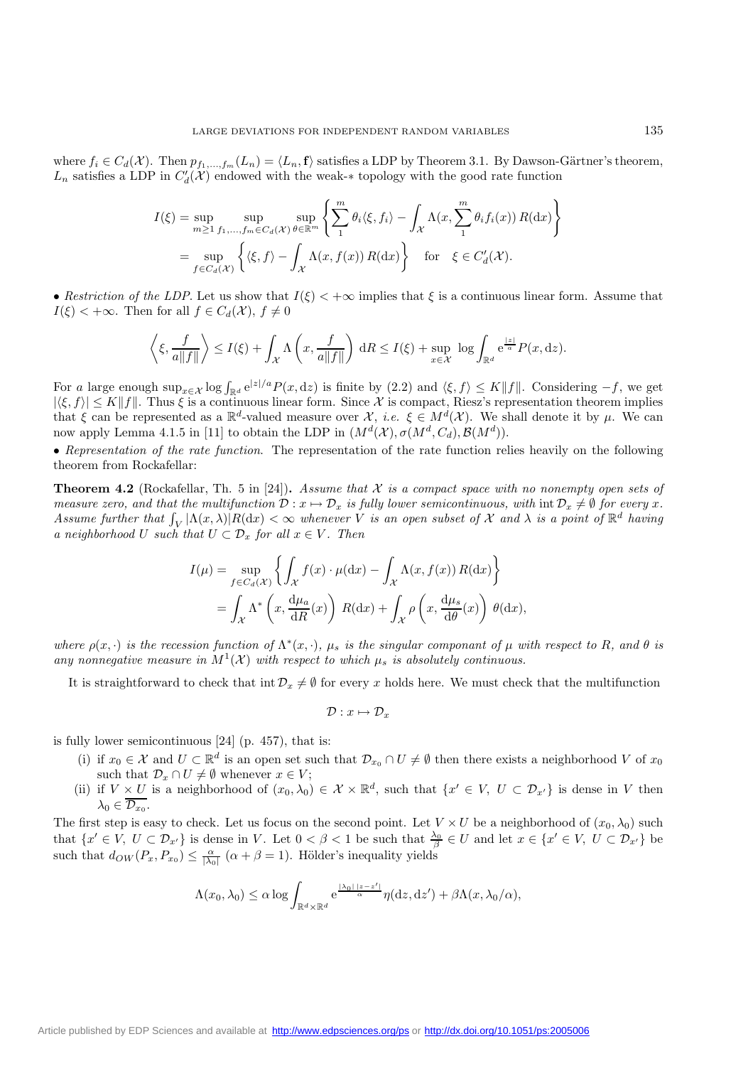where  $f_i \in C_d(\mathcal{X})$ . Then  $p_{f_1,...,f_m}(L_n) = \langle L_n, \mathbf{f} \rangle$  satisfies a LDP by Theorem 3.1. By Dawson-Gärtner's theorem,  $L_n$  satisfies a LDP in  $C'_d(\mathcal{X})$  endowed with the weak-\* topology with the good rate function

$$
I(\xi) = \sup_{m \ge 1} \sup_{f_1, \dots, f_m \in C_d(\mathcal{X})} \sup_{\theta \in \mathbb{R}^m} \left\{ \sum_{1}^m \theta_i \langle \xi, f_i \rangle - \int_{\mathcal{X}} \Lambda(x, \sum_{1}^m \theta_i f_i(x)) R(\mathrm{d}x) \right\}
$$
  
= 
$$
\sup_{f \in C_d(\mathcal{X})} \left\{ \langle \xi, f \rangle - \int_{\mathcal{X}} \Lambda(x, f(x)) R(\mathrm{d}x) \right\} \quad \text{for} \quad \xi \in C'_d(\mathcal{X}).
$$

• *Restriction of the LDP*. Let us show that  $I(\xi) < +\infty$  implies that  $\xi$  is a continuous linear form. Assume that  $I(\xi) < +\infty$ . Then for all  $f \in C_d(\mathcal{X}), f \neq 0$ 

$$
\left\langle \xi, \frac{f}{a\|f\|} \right\rangle \le I(\xi) + \int_{\mathcal{X}} \Lambda\left(x, \frac{f}{a\|f\|}\right) dR \le I(\xi) + \sup_{x \in \mathcal{X}} \log \int_{\mathbb{R}^d} e^{\frac{|z|}{a}} P(x, dz).
$$

For a large enough  $\sup_{x \in \mathcal{X}} \log \int_{\mathbb{R}^d} e^{|z|/a} P(x, dz)$  is finite by  $(2.2)$  and  $\langle \xi, f \rangle \leq K ||f||$ . Considering  $-f$ , we get  $|\langle \xi, f \rangle| \leq K \|f\|$ . Thus  $\xi$  is a continuous linear form. Since X is compact, Riesz's representation theorem implies that  $\xi$  can be represented as a  $\mathbb{R}^d$ -valued measure over X, *i.e.*  $\xi \in M^d(\mathcal{X})$ . We shall denote it by  $\mu$ . We can now apply Lemma 4.1.5 in [11] to obtain the LDP in  $(M^d(\mathcal{X}), \sigma(M^d, C_d), \mathcal{B}(M^d))$ .

• *Representation of the rate function*. The representation of the rate function relies heavily on the following theorem from Rockafellar:

**Theorem 4.2** (Rockafellar, Th. 5 in [24])**.** *Assume that* X *is a compact space with no nonempty open sets of measure zero, and that the multifunction*  $\mathcal{D}: x \mapsto \mathcal{D}_x$  *is fully lower semicontinuous, with*  $\text{int } \mathcal{D}_x \neq \emptyset$  *for every* x. *Assume further that*  $\int_V |\Lambda(x,\lambda)| R(\mathrm{d}x) < \infty$  *whenever V is an open subset of* X *and*  $\lambda$  *is a point of*  $\mathbb{R}^d$  *having a neighborhood* U *such that*  $U \subset \mathcal{D}_x$  *for all*  $x \in V$ *. Then* 

$$
I(\mu) = \sup_{f \in C_d(\mathcal{X})} \left\{ \int_{\mathcal{X}} f(x) \cdot \mu(dx) - \int_{\mathcal{X}} \Lambda(x, f(x)) R(dx) \right\}
$$
  
= 
$$
\int_{\mathcal{X}} \Lambda^* \left( x, \frac{d\mu_a}{dR}(x) \right) R(dx) + \int_{\mathcal{X}} \rho \left( x, \frac{d\mu_s}{d\theta}(x) \right) \theta(dx),
$$

*where*  $\rho(x, \cdot)$  *is the recession function of*  $\Lambda^*(x, \cdot)$ *,*  $\mu_s$  *is the singular componant of*  $\mu$  *with respect to* R*, and*  $\theta$  *is any nonnegative measure in*  $M^1(\mathcal{X})$  *with respect to which*  $\mu_s$  *is absolutely continuous.* 

It is straightforward to check that int  $\mathcal{D}_x \neq \emptyset$  for every x holds here. We must check that the multifunction

$$
\mathcal{D}:x\mapsto \mathcal{D}_x
$$

is fully lower semicontinuous [24] (p. 457), that is:

- (i) if  $x_0 \in \mathcal{X}$  and  $U \subset \mathbb{R}^d$  is an open set such that  $\mathcal{D}_{x_0} \cap U \neq \emptyset$  then there exists a neighborhood V of  $x_0$ such that  $\mathcal{D}_x \cap U \neq \emptyset$  whenever  $x \in V$ ;
- (ii) if  $V \times U$  is a neighborhood of  $(x_0, \lambda_0) \in \mathcal{X} \times \mathbb{R}^d$ , such that  $\{x' \in V, U \subset \mathcal{D}_{x'}\}$  is dense in V then  $\lambda_0 \in \mathcal{D}_{x_0}.$

The first step is easy to check. Let us focus on the second point. Let  $V \times U$  be a neighborhood of  $(x_0, \lambda_0)$  such that  $\{x' \in V, U \subset \mathcal{D}_{x'}\}$  is dense in V. Let  $0 < \beta < 1$  be such that  $\frac{\lambda_0}{\beta} \in U$  and let  $x \in \{x' \in V, U \subset \mathcal{D}_{x'}\}$  be such that  $d_{OW}(P_x, P_{x_0}) \leq \frac{\alpha}{|\lambda_0|}$   $(\alpha + \beta = 1)$ . Hölder's inequality yields

$$
\Lambda(x_0,\lambda_0)\leq \alpha\log\int_{\mathbb{R}^d\times\mathbb{R}^d}\mathrm{e}^{\frac{|\lambda_0|\,|z-z'|}{\alpha}}\eta(\mathrm{d} z,\mathrm{d} z')+\beta\Lambda(x,\lambda_0/\alpha),
$$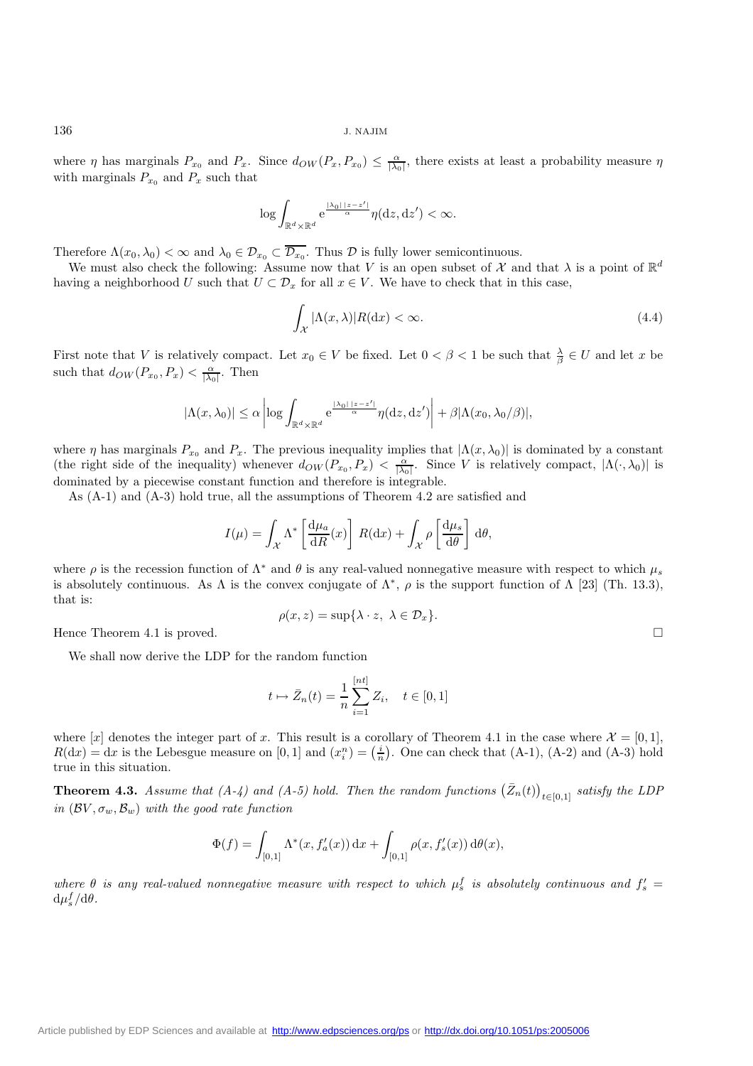where  $\eta$  has marginals  $P_{x_0}$  and  $P_x$ . Since  $d_{OW}(P_x, P_{x_0}) \leq \frac{\alpha}{|\lambda_0|}$ , there exists at least a probability measure  $\eta$ with marginals  $P_{x_0}$  and  $P_x$  such that

$$
\log \int_{\mathbb{R}^d \times \mathbb{R}^d} e^{\frac{|\lambda_0| |z - z'|}{\alpha}} \eta(\mathrm{d}z, \mathrm{d}z') < \infty.
$$

Therefore  $\Lambda(x_0, \lambda_0) < \infty$  and  $\lambda_0 \in \mathcal{D}_{x_0} \subset \overline{\mathcal{D}_{x_0}}$ . Thus  $\mathcal D$  is fully lower semicontinuous.

We must also check the following: Assume now that V is an open subset of X and that  $\lambda$  is a point of  $\mathbb{R}^d$ having a neighborhood U such that  $U \subset \mathcal{D}_x$  for all  $x \in V$ . We have to check that in this case,

$$
\int_{\mathcal{X}} |\Lambda(x,\lambda)| R(\mathrm{d}x) < \infty. \tag{4.4}
$$

First note that V is relatively compact. Let  $x_0 \in V$  be fixed. Let  $0 < \beta < 1$  be such that  $\frac{\lambda}{\beta} \in U$  and let x be such that  $d_{OW}(P_{x_0}, P_x) < \frac{\alpha}{|\lambda_0|}$ . Then

$$
|\Lambda(x,\lambda_0)| \leq \alpha \left| \log \int_{\mathbb{R}^d \times \mathbb{R}^d} e^{\frac{|\lambda_0| |z - z'|}{\alpha}} \eta(\mathrm{d}z, \mathrm{d}z') \right| + \beta |\Lambda(x_0, \lambda_0/\beta)|,
$$

where  $\eta$  has marginals  $P_{x_0}$  and  $P_x$ . The previous inequality implies that  $|\Lambda(x, \lambda_0)|$  is dominated by a constant (the right side of the inequality) whenever  $d_{OW}(P_{x_0}, P_x) < \frac{\alpha}{|\lambda_0|}$ . Since V is relatively compact,  $|\Lambda(\cdot, \lambda_0)|$  is dominated by a piecewise constant function and therefore is integrable.

As (A-1) and (A-3) hold true, all the assumptions of Theorem 4.2 are satisfied and

$$
I(\mu) = \int_{\mathcal{X}} \Lambda^* \left[ \frac{\mathrm{d}\mu_a}{\mathrm{d}R}(x) \right] R(\mathrm{d}x) + \int_{\mathcal{X}} \rho \left[ \frac{\mathrm{d}\mu_s}{\mathrm{d}\theta} \right] \mathrm{d}\theta,
$$

where  $\rho$  is the recession function of  $\Lambda^*$  and  $\theta$  is any real-valued nonnegative measure with respect to which  $\mu_s$ is absolutely continuous. As  $\Lambda$  is the convex conjugate of  $\Lambda^*$ ,  $\rho$  is the support function of  $\Lambda$  [23] (Th. 13.3), that is:

$$
\rho(x, z) = \sup \{ \lambda \cdot z, \ \lambda \in \mathcal{D}_x \}.
$$

Hence Theorem 4.1 is proved.

We shall now derive the LDP for the random function

$$
t \mapsto \bar{Z}_n(t) = \frac{1}{n} \sum_{i=1}^{[nt]} Z_i, \quad t \in [0, 1]
$$

where [x] denotes the integer part of x. This result is a corollary of Theorem 4.1 in the case where  $\mathcal{X} = [0,1],$  $R(dx) = dx$  is the Lebesgue measure on [0, 1] and  $(x_i^n) = (\frac{i}{n})$ . One can check that (A-1), (A-2) and (A-3) hold true in this situation.

**Theorem 4.3.** *Assume that (A-4) and (A-5) hold. Then the random functions*  $(\bar{Z}_n(t))_{t\in[0,1]}$  *satisfy the LDP in*  $(\mathcal{B}V, \sigma_w, \mathcal{B}_w)$  *with the good rate function* 

$$
\Phi(f) = \int_{[0,1]} \Lambda^*(x, f'_a(x)) dx + \int_{[0,1]} \rho(x, f'_s(x)) d\theta(x),
$$

where  $\theta$  is any real-valued nonnegative measure with respect to which  $\mu_s^f$  is absolutely continuous and  $f'_s$  $d\mu_s^f/d\theta$ .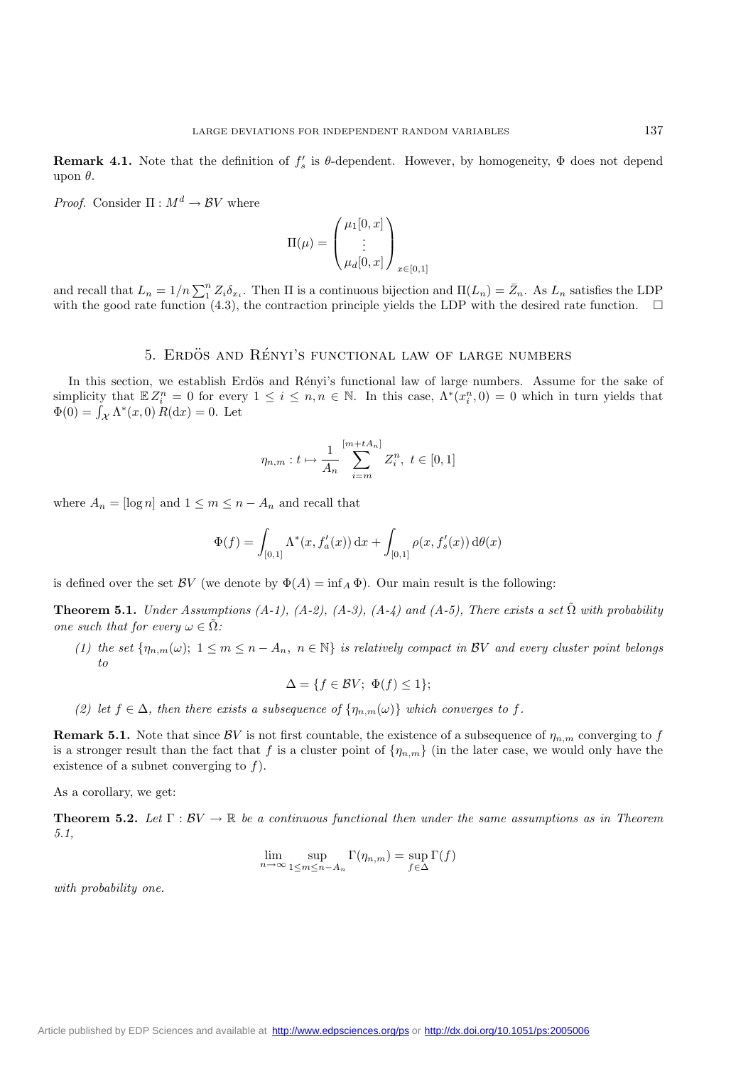**Remark 4.1.** Note that the definition of  $f'_s$  is  $\theta$ -dependent. However, by homogeneity,  $\Phi$  does not depend upon θ.

*Proof.* Consider  $\Pi : M^d \to BV$  where

$$
\Pi(\mu) = \begin{pmatrix} \mu_1[0, x] \\ \vdots \\ \mu_d[0, x] \end{pmatrix}_{x \in [0, 1]}
$$

and recall that  $L_n = 1/n \sum_{i=1}^{n} Z_i \delta_{x_i}$ . Then  $\Pi$  is a continuous bijection and  $\Pi(L_n) = \bar{Z}_n$ . As  $L_n$  satisfies the LDP with the good rate function (4.3) the contraction principle vields the LDP with the desired rat with the good rate function (4.3), the contraction principle yields the LDP with the desired rate function.  $\square$ 

# 5. ERDÖS AND RÉNYI'S FUNCTIONAL LAW OF LARGE NUMBERS

In this section, we establish Erdös and Rényi's functional law of large numbers. Assume for the sake of simplicity that  $\mathbb{E}Z_i^n = 0$  for every  $1 \leq i \leq n, n \in \mathbb{N}$ . In this case,  $\Lambda^*(x_i^n, 0) = 0$  which in turn yields that  $\Phi(0) = \int_{\mathcal{X}} \Lambda^*(x,0) R(\mathrm{d}x) = 0.$  Let

$$
\eta_{n,m}: t \mapsto \frac{1}{A_n} \sum_{i=m}^{[m+tA_n]} Z_i^n, \ t \in [0,1]
$$

where  $A_n = \log n$  and  $1 \leq m \leq n - A_n$  and recall that

$$
\Phi(f) = \int_{[0,1]} \Lambda^*(x, f'_a(x)) dx + \int_{[0,1]} \rho(x, f'_s(x)) d\theta(x)
$$

is defined over the set  $\mathcal{BV}$  (we denote by  $\Phi(A) = \inf_A \Phi$ ). Our main result is the following:

**Theorem 5.1.** *Under Assumptions (A-1), (A-2), (A-3), (A-4) and (A-5), There exists a set*  $\tilde{\Omega}$  *with probability one such that for every*  $\omega \in \tilde{\Omega}$ *:* 

(1) the set  $\{\eta_{n,m}(\omega); 1 \leq m \leq n - A_n, n \in \mathbb{N}\}\$ is relatively compact in BV and every cluster point belongs *to*

$$
\Delta = \{ f \in BV; \ \Phi(f) \le 1 \};
$$

*(2) let*  $f \in \Delta$ *, then there exists a subsequence of*  $\{\eta_{n,m}(\omega)\}\$  *which converges to* f.

**Remark 5.1.** Note that since BV is not first countable, the existence of a subsequence of  $\eta_{n,m}$  converging to f is a stronger result than the fact that f is a cluster point of  $\{\eta_{n,m}\}$  (in the later case, we would only have the existence of a subnet converging to  $f$ ).

As a corollary, we get:

**Theorem 5.2.** *Let*  $\Gamma : BV \to \mathbb{R}$  *be a continuous functional then under the same assumptions as in Theorem 5.1,*

$$
\lim_{n \to \infty} \sup_{1 \le m \le n - A_n} \Gamma(\eta_{n,m}) = \sup_{f \in \Delta} \Gamma(f)
$$

*with probability one.*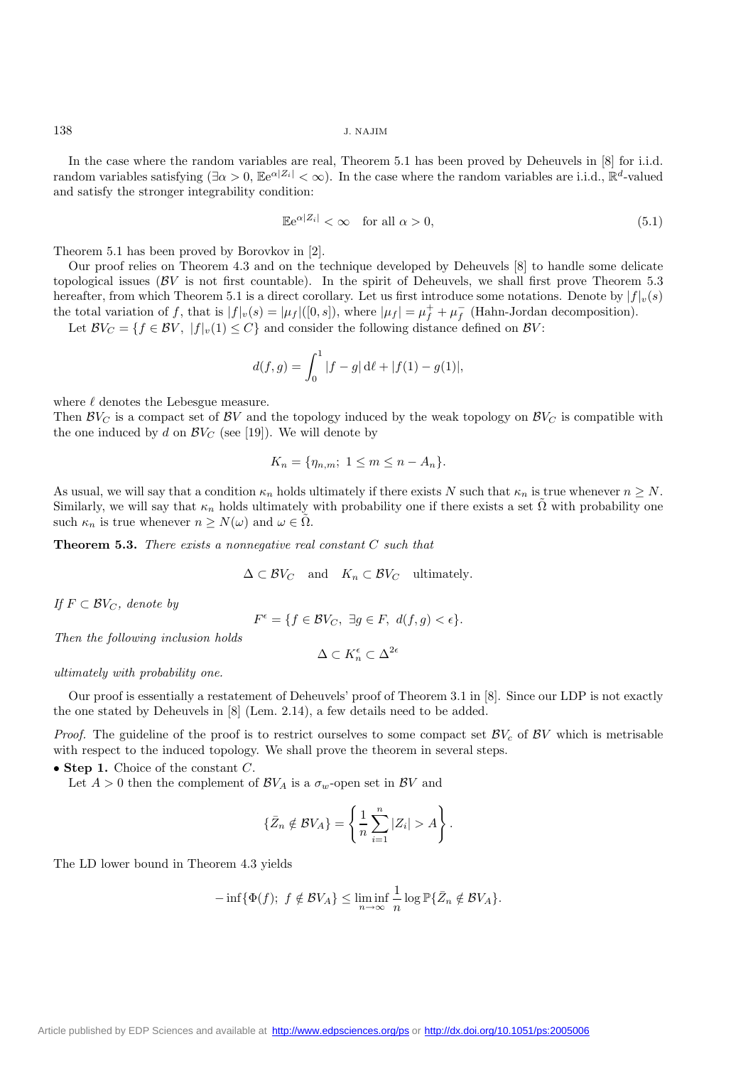In the case where the random variables are real, Theorem 5.1 has been proved by Deheuvels in [8] for i.i.d. random variables satisfying  $(\exists \alpha > 0, \mathbb{E}e^{\alpha |Z_i|} < \infty)$ . In the case where the random variables are i.i.d.,  $\mathbb{R}^d$ -valued and satisfy the stronger integrability condition:

$$
\mathbb{E}e^{\alpha|Z_i|} < \infty \quad \text{for all } \alpha > 0,\tag{5.1}
$$

Theorem 5.1 has been proved by Borovkov in [2].

Our proof relies on Theorem 4.3 and on the technique developed by Deheuvels [8] to handle some delicate topological issues ( $\beta V$  is not first countable). In the spirit of Deheuvels, we shall first prove Theorem 5.3 hereafter, from which Theorem 5.1 is a direct corollary. Let us first introduce some notations. Denote by  $|f|_v(s)$ the total variation of f, that is  $|f|_v(s) = |\mu_f|([0, s])$ , where  $|\mu_f| = \mu_f^+ + \mu_f^-$  (Hahn-Jordan decomposition).

Let  $\mathcal{B}V_C = \{f \in \mathcal{B}V, |f|_v(1) \leq C\}$  and consider the following distance defined on  $\mathcal{B}V$ :

$$
d(f,g) = \int_0^1 |f - g| \, d\ell + |f(1) - g(1)|,
$$

where  $\ell$  denotes the Lebesgue measure.

Then  $\mathcal{B}V_C$  is a compact set of  $\mathcal{B}V$  and the topology induced by the weak topology on  $\mathcal{B}V_C$  is compatible with the one induced by d on  $\mathcal{B}V_C$  (see [19]). We will denote by

$$
K_n = \{\eta_{n,m}; 1 \le m \le n - A_n\}.
$$

As usual, we will say that a condition  $\kappa_n$  holds ultimately if there exists N such that  $\kappa_n$  is true whenever  $n \geq N$ . Similarly, we will say that  $\kappa_n$  holds ultimately with probability one if there exists a set  $\Omega$  with probability one such  $\kappa_n$  is true whenever  $n \geq N(\omega)$  and  $\omega \in \Omega$ .

**Theorem 5.3.** *There exists a nonnegative real constant* C *such that*

$$
\Delta \subset \mathcal{B}V_C \quad \text{and} \quad K_n \subset \mathcal{B}V_C \quad \text{ultimately.}
$$

*If*  $F \subset BV_C$ *, denote by* 

$$
F^{\epsilon} = \{ f \in \mathcal{B}V_C, \ \exists g \in F, \ d(f, g) < \epsilon \}.
$$

*Then the following inclusion holds*

$$
\Delta\subset K_n^\epsilon\subset\Delta^{2\epsilon}
$$

*ultimately with probability one.*

Our proof is essentially a restatement of Deheuvels' proof of Theorem 3.1 in [8]. Since our LDP is not exactly the one stated by Deheuvels in [8] (Lem. 2.14), a few details need to be added.

*Proof.* The guideline of the proof is to restrict ourselves to some compact set  $\mathcal{BV}_c$  of  $\mathcal{BV}$  which is metrisable with respect to the induced topology. We shall prove the theorem in several steps.

• **Step 1.** Choice of the constant C.

Let  $A > 0$  then the complement of  $\mathcal{B}V_A$  is a  $\sigma_w$ -open set in  $\mathcal{B}V$  and

$$
\{\bar{Z}_n \notin BV_A\} = \left\{\frac{1}{n}\sum_{i=1}^n |Z_i| > A\right\}.
$$

The LD lower bound in Theorem 4.3 yields

$$
-\inf{\Phi(f); f \notin BV_A} \leq \liminf_{n \to \infty} \frac{1}{n} \log \mathbb{P} {\bar Z_n \notin BV_A}.
$$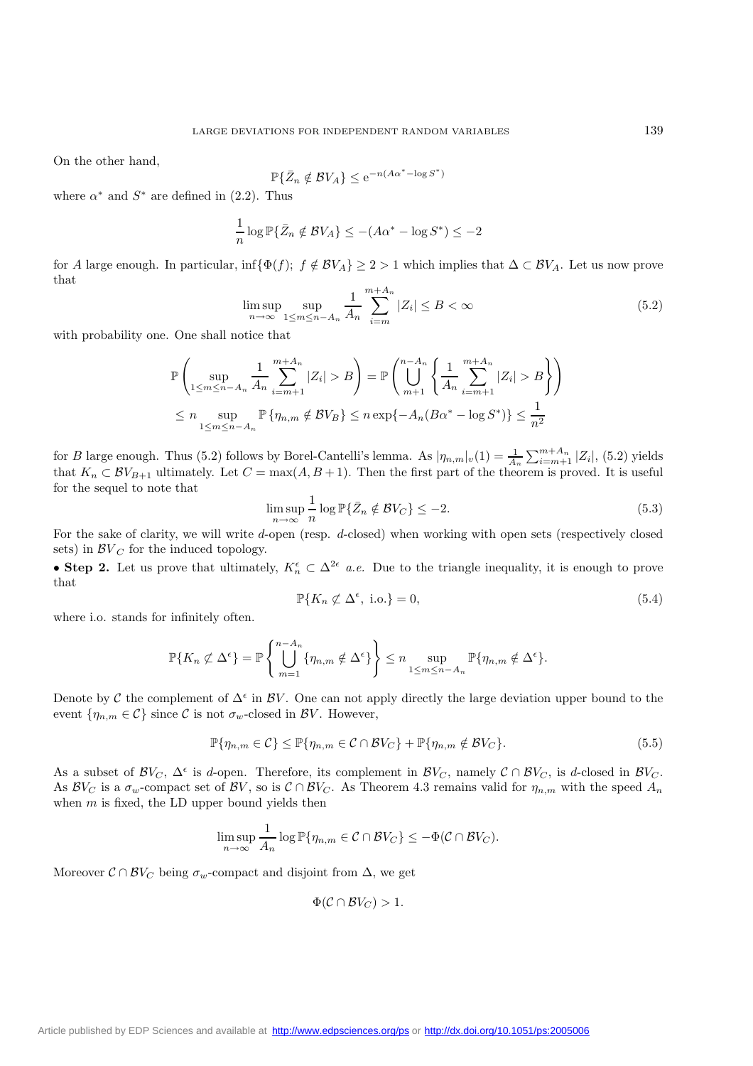On the other hand,

$$
\mathbb{P}\{\bar{Z}_n \notin \mathcal{B}V_A\} \le e^{-n(A\alpha^* - \log S^*)}
$$

where  $\alpha^*$  and  $S^*$  are defined in (2.2). Thus

$$
\frac{1}{n}\log \mathbb{P}\{\bar{Z}_n \notin \mathcal{B}V_A\} \le -(A\alpha^* - \log S^*) \le -2
$$

for A large enough. In particular, inf $\{\Phi(f); f \notin BV_A\} \geq 2 > 1$  which implies that  $\Delta \subset BV_A$ . Let us now prove that

$$
\limsup_{n \to \infty} \sup_{1 \le m \le n - A_n} \frac{1}{A_n} \sum_{i=m}^{m+A_n} |Z_i| \le B < \infty
$$
\n(5.2)

with probability one. One shall notice that

$$
\mathbb{P}\left(\sup_{1\leq m\leq n-A_n} \frac{1}{A_n} \sum_{i=m+1}^{m+A_n} |Z_i| > B\right) = \mathbb{P}\left(\bigcup_{m+1}^{n-A_n} \left\{\frac{1}{A_n} \sum_{i=m+1}^{m+A_n} |Z_i| > B\right\}\right)
$$
  

$$
\leq n \sup_{1\leq m\leq n-A_n} \mathbb{P}\{\eta_{n,m} \notin BV_B\} \leq n \exp\{-A_n(B\alpha^* - \log S^*)\} \leq \frac{1}{n^2}
$$

for B large enough. Thus (5.2) follows by Borel-Cantelli's lemma. As  $|\eta_{n,m}|_v(1) = \frac{1}{A_n} \sum_{m=1}^{m+A_n} |Z_i|$ , (5.2) yields<br>that  $K \subset \mathcal{BV}_{\mathcal{F}}$  with watch  $L$  of  $C = \max(A, B + 1)$ . Then the first part of the theorem is prove that  $K_n \subset BV_{B+1}$  ultimately. Let  $C = \max(A, B+1)$ . Then the first part of the theorem is proved. It is useful for the sequel to note that

$$
\limsup_{n \to \infty} \frac{1}{n} \log \mathbb{P} \{ \bar{Z}_n \notin \mathcal{B} V_C \} \le -2. \tag{5.3}
$$

For the sake of clarity, we will write d-open (resp. d-closed) when working with open sets (respectively closed sets) in  $\mathcal{BV}_C$  for the induced topology.

• **Step 2.** Let us prove that ultimately,  $K_n^{\epsilon} \subset \Delta^{2\epsilon}$  *a.e.* Due to the triangle inequality, it is enough to prove that

$$
\mathbb{P}\{K_n \not\subset \Delta^{\epsilon}, \text{ i.o.}\} = 0,\tag{5.4}
$$

where i.o. stands for infinitely often.

$$
\mathbb{P}\{K_n \not\subset \Delta^{\epsilon}\} = \mathbb{P}\left\{\bigcup_{m=1}^{n-A_n} \{\eta_{n,m} \notin \Delta^{\epsilon}\}\right\} \leq n \sup_{1 \leq m \leq n-A_n} \mathbb{P}\{\eta_{n,m} \notin \Delta^{\epsilon}\}.
$$

Denote by C the complement of  $\Delta^{\epsilon}$  in BV. One can not apply directly the large deviation upper bound to the event  $\{\eta_{n,m} \in \mathcal{C}\}\$  since  $\mathcal{C}$  is not  $\sigma_w$ -closed in  $\mathcal{B}V$ . However,

$$
\mathbb{P}\{\eta_{n,m} \in \mathcal{C}\} \le \mathbb{P}\{\eta_{n,m} \in \mathcal{C} \cap \mathcal{BV}_C\} + \mathbb{P}\{\eta_{n,m} \notin \mathcal{BV}_C\}.
$$
\n(5.5)

As a subset of  $\mathcal{B}V_C$ ,  $\Delta^{\epsilon}$  is d-open. Therefore, its complement in  $\mathcal{B}V_C$ , namely  $\mathcal{C} \cap \mathcal{B}V_C$ , is d-closed in  $\mathcal{B}V_C$ . As  $\mathcal{BV}_C$  is a  $\sigma_w$ -compact set of  $\mathcal{BV}_C$ , so is  $\mathcal{C} \cap \mathcal{BV}_C$ . As Theorem 4.3 remains valid for  $\eta_{n,m}$  with the speed  $A_n$ when  $m$  is fixed, the LD upper bound yields then

$$
\limsup_{n\to\infty}\frac{1}{A_n}\log\mathbb{P}\{\eta_{n,m}\in\mathcal{C}\cap\mathcal{B}V_C\}\leq-\Phi(\mathcal{C}\cap\mathcal{B}V_C).
$$

Moreover  $\mathcal{C} \cap \mathcal{B}V_C$  being  $\sigma_w$ -compact and disjoint from  $\Delta$ , we get

$$
\Phi(\mathcal{C} \cap \mathcal{B}V_C) > 1.
$$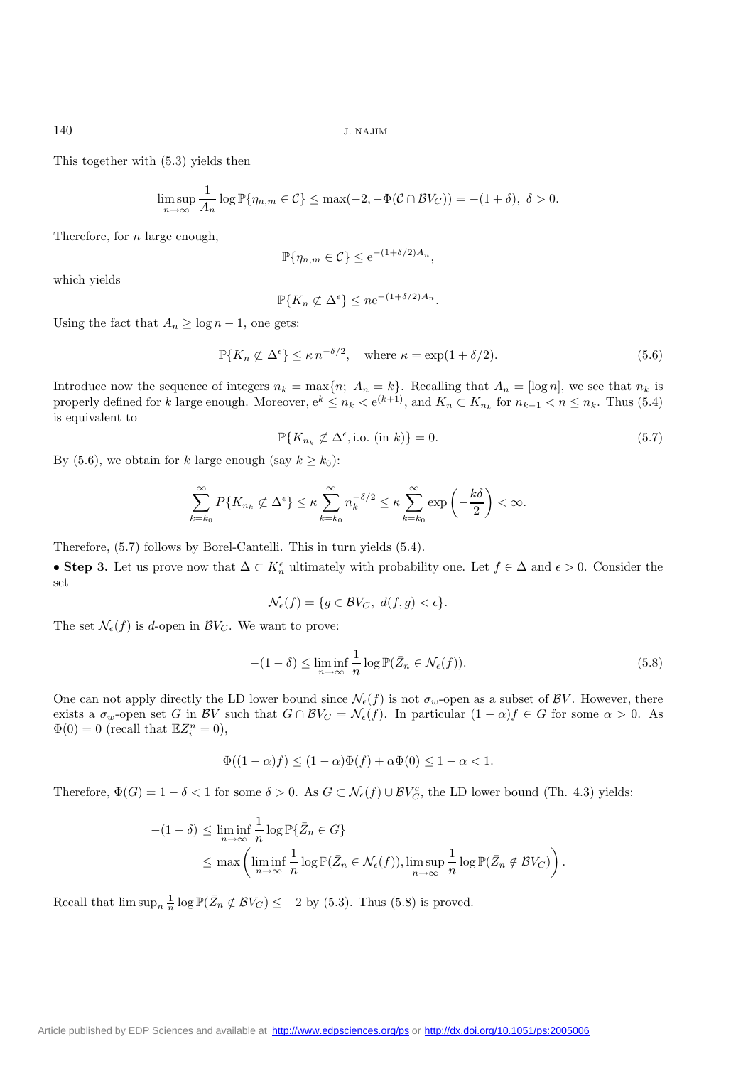This together with (5.3) yields then

$$
\limsup_{n\to\infty}\frac{1}{A_n}\log\mathbb{P}\{\eta_{n,m}\in\mathcal{C}\}\leq\max(-2,-\Phi(\mathcal{C}\cap\mathcal{B}V_C))=-(1+\delta),\ \delta>0.
$$

Therefore, for n large enough,

$$
\mathbb{P}\{\eta_{n,m} \in \mathcal{C}\} \le e^{-(1+\delta/2)A_n},
$$

which yields

$$
\mathbb{P}\{K_n \not\subset \Delta^{\epsilon}\} \leq n e^{-(1+\delta/2)A_n}.
$$

Using the fact that  $A_n \ge \log n - 1$ , one gets:

$$
\mathbb{P}\{K_n \not\subset \Delta^{\epsilon}\} \le \kappa n^{-\delta/2}, \quad \text{where } \kappa = \exp(1 + \delta/2). \tag{5.6}
$$

Introduce now the sequence of integers  $n_k = \max\{n; A_n = k\}$ . Recalling that  $A_n = [\log n]$ , we see that  $n_k$  is properly defined for k large enough. Moreover,  $e^k \le n_k < e^{(k+1)}$ , and  $K_n \subset K_{n_k}$  for  $n_{k-1} < n \le n_k$ . Thus (5.4) is equivalent to

$$
\mathbb{P}\{K_{n_k} \not\subset \Delta^{\epsilon}, \text{i.o. (in } k)\} = 0. \tag{5.7}
$$

By (5.6), we obtain for k large enough (say  $k \geq k_0$ ):

$$
\sum_{k=k_0}^{\infty} P\{K_{n_k} \not\subset \Delta^{\epsilon}\} \leq \kappa \sum_{k=k_0}^{\infty} n_k^{-\delta/2} \leq \kappa \sum_{k=k_0}^{\infty} \exp\left(-\frac{k\delta}{2}\right) < \infty.
$$

Therefore, (5.7) follows by Borel-Cantelli. This in turn yields (5.4).

• **Step 3.** Let us prove now that  $\Delta \subset K_n^{\epsilon}$  ultimately with probability one. Let  $f \in \Delta$  and  $\epsilon > 0$ . Consider the set

$$
\mathcal{N}_{\epsilon}(f) = \{ g \in \mathcal{B}V_C, \ d(f, g) < \epsilon \}.
$$

The set  $\mathcal{N}_{\epsilon}(f)$  is d-open in  $\mathcal{B}V_C$ . We want to prove:

$$
-(1 - \delta) \le \liminf_{n \to \infty} \frac{1}{n} \log \mathbb{P}(\bar{Z}_n \in \mathcal{N}_{\epsilon}(f)).
$$
\n(5.8)

One can not apply directly the LD lower bound since  $\mathcal{N}_{\epsilon}(f)$  is not  $\sigma_w$ -open as a subset of  $\mathcal{B}V$ . However, there exists a  $\sigma_w$ -open set G in BV such that  $G \cap BV_C = \mathcal{N}_{\epsilon}(f)$ . In particular  $(1 - \alpha)f \in G$  for some  $\alpha > 0$ . As  $\Phi(0) = 0$  (recall that  $\mathbb{E}Z_i^n = 0$ ),

$$
\Phi((1-\alpha)f) \le (1-\alpha)\Phi(f) + \alpha\Phi(0) \le 1-\alpha < 1.
$$

Therefore,  $\Phi(G) = 1 - \delta < 1$  for some  $\delta > 0$ . As  $G \subset \mathcal{N}_{\epsilon}(f) \cup \mathcal{BV}_{C}^c$ , the LD lower bound (Th. 4.3) yields:

$$
-(1 - \delta) \le \liminf_{n \to \infty} \frac{1}{n} \log \mathbb{P} \{ \bar{Z}_n \in G \}
$$
  
 
$$
\le \max \left( \liminf_{n \to \infty} \frac{1}{n} \log \mathbb{P} (\bar{Z}_n \in \mathcal{N}_{\epsilon}(f)), \limsup_{n \to \infty} \frac{1}{n} \log \mathbb{P} (\bar{Z}_n \notin \mathcal{B} V_C) \right).
$$

Recall that  $\limsup_n \frac{1}{n} \log \mathbb{P}(\bar{Z}_n \notin BV_C) \leq -2$  by (5.3). Thus (5.8) is proved.

[Article published by EDP Sciences and available at http://www.edpsciences.org/ps](http://www.edpsciences.org/ps) or <http://dx.doi.org/10.1051/ps:2005006>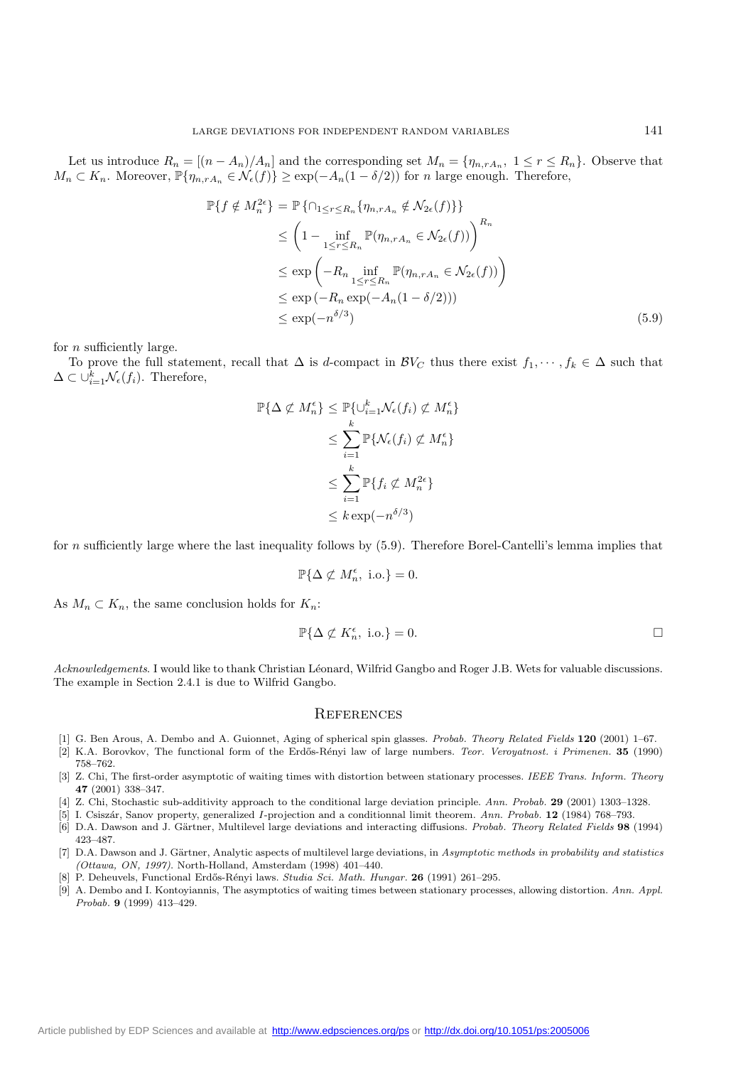Let us introduce  $R_n = [(n - A_n)/A_n]$  and the corresponding set  $M_n = \{\eta_{n,rA_n}, 1 \leq r \leq R_n\}$ . Observe that  $M_n \subset K_n$ . Moreover,  $\mathbb{P}\{\eta_{n,rA_n} \in \mathcal{N}_{\epsilon}(f)\} \geq \exp(-A_n(1-\delta/2))$  for n large enough. Therefore,

$$
\mathbb{P}\lbrace f \notin M_n^{2\epsilon} \rbrace = \mathbb{P}\lbrace \bigcap_{1 \leq r \leq R_n} \lbrace \eta_{n,rA_n} \notin \mathcal{N}_{2\epsilon}(f) \rbrace \rbrace
$$
  
\n
$$
\leq \left(1 - \inf_{1 \leq r \leq R_n} \mathbb{P}(\eta_{n,rA_n} \in \mathcal{N}_{2\epsilon}(f))\right)^{R_n}
$$
  
\n
$$
\leq \exp\left(-R_n \inf_{1 \leq r \leq R_n} \mathbb{P}(\eta_{n,rA_n} \in \mathcal{N}_{2\epsilon}(f))\right)
$$
  
\n
$$
\leq \exp(-R_n \exp(-A_n(1 - \delta/2)))
$$
  
\n
$$
\leq \exp(-n^{\delta/3})
$$
\n(5.9)

for  $n$  sufficiently large.

To prove the full statement, recall that  $\Delta$  is d-compact in  $\mathcal{B}V_C$  thus there exist  $f_1, \dots, f_k \in \Delta$  such that  $\Delta \subset \cup_{i=1}^k \mathcal{N}_{\epsilon}(f_i)$ . Therefore,

$$
\mathbb{P}\{\Delta \not\subset M_n^{\epsilon}\} \leq \mathbb{P}\{\cup_{i=1}^k \mathcal{N}_{\epsilon}(f_i) \not\subset M_n^{\epsilon}\}
$$

$$
\leq \sum_{i=1}^k \mathbb{P}\{\mathcal{N}_{\epsilon}(f_i) \not\subset M_n^{\epsilon}\}
$$

$$
\leq \sum_{i=1}^k \mathbb{P}\{f_i \not\subset M_n^{2\epsilon}\}
$$

$$
\leq k \exp(-n^{\delta/3})
$$

for n sufficiently large where the last inequality follows by (5.9). Therefore Borel-Cantelli's lemma implies that

$$
\mathbb{P}\{\Delta \not\subset M_n^\epsilon, \text{ i.o.}\}=0.
$$

As  $M_n \subset K_n$ , the same conclusion holds for  $K_n$ :

$$
\mathbb{P}\{\Delta \not\subset K_n^{\epsilon}, \text{ i.o.}\} = 0. \qquad \qquad \Box
$$

*Acknowledgements*. I would like to thank Christian L´eonard, Wilfrid Gangbo and Roger J.B. Wets for valuable discussions. The example in Section 2.4.1 is due to Wilfrid Gangbo.

#### **REFERENCES**

- [1] G. Ben Arous, A. Dembo and A. Guionnet, Aging of spherical spin glasses. *Probab. Theory Related Fields* **120** (2001) 1–67.
- [2] K.A. Borovkov, The functional form of the Erd˝os-R´enyi law of large numbers. *Teor. Veroyatnost. i Primenen.* **35** (1990) 758–762.
- [3] Z. Chi, The first-order asymptotic of waiting times with distortion between stationary processes. *IEEE Trans. Inform. Theory* **47** (2001) 338–347.
- [4] Z. Chi, Stochastic sub-additivity approach to the conditional large deviation principle. *Ann. Probab.* **29** (2001) 1303–1328.
- [5] I. Csisz´ar, Sanov property, generalized *I*-projection and a conditionnal limit theorem. *Ann. Probab.* **12** (1984) 768–793.
- [6] D.A. Dawson and J. G¨artner, Multilevel large deviations and interacting diffusions. *Probab. Theory Related Fields* **98** (1994) 423–487.
- [7] D.A. Dawson and J. Gärtner, Analytic aspects of multilevel large deviations, in *Asymptotic methods in probability and statistics (Ottawa, ON, 1997)*. North-Holland, Amsterdam (1998) 401–440.
- [8] P. Deheuvels, Functional Erd˝os-R´enyi laws. *Studia Sci. Math. Hungar.* **26** (1991) 261–295.
- [9] A. Dembo and I. Kontoyiannis, The asymptotics of waiting times between stationary processes, allowing distortion. *Ann. Appl. Probab.* **9** (1999) 413–429.